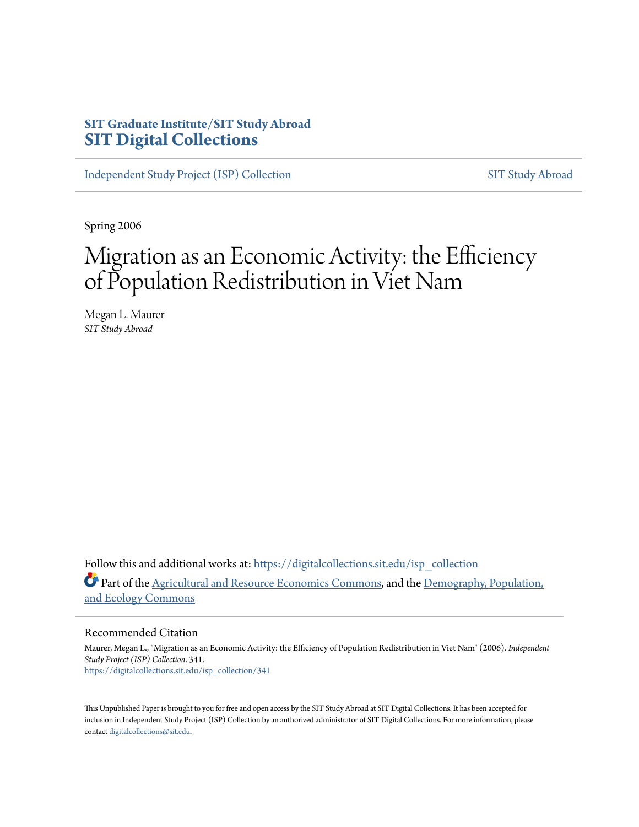# **SIT Graduate Institute/SIT Study Abroad [SIT Digital Collections](https://digitalcollections.sit.edu?utm_source=digitalcollections.sit.edu%2Fisp_collection%2F341&utm_medium=PDF&utm_campaign=PDFCoverPages)**

[Independent Study Project \(ISP\) Collection](https://digitalcollections.sit.edu/isp_collection?utm_source=digitalcollections.sit.edu%2Fisp_collection%2F341&utm_medium=PDF&utm_campaign=PDFCoverPages) [SIT Study Abroad](https://digitalcollections.sit.edu/study_abroad?utm_source=digitalcollections.sit.edu%2Fisp_collection%2F341&utm_medium=PDF&utm_campaign=PDFCoverPages)

Spring 2006

# Migration as an Economic Activity: the Efficiency of Population Redistribution in Viet Nam

Megan L. Maurer *SIT Study Abroad*

Follow this and additional works at: [https://digitalcollections.sit.edu/isp\\_collection](https://digitalcollections.sit.edu/isp_collection?utm_source=digitalcollections.sit.edu%2Fisp_collection%2F341&utm_medium=PDF&utm_campaign=PDFCoverPages) Part of the [Agricultural and Resource Economics Commons](http://network.bepress.com/hgg/discipline/317?utm_source=digitalcollections.sit.edu%2Fisp_collection%2F341&utm_medium=PDF&utm_campaign=PDFCoverPages), and the [Demography, Population,](http://network.bepress.com/hgg/discipline/418?utm_source=digitalcollections.sit.edu%2Fisp_collection%2F341&utm_medium=PDF&utm_campaign=PDFCoverPages) [and Ecology Commons](http://network.bepress.com/hgg/discipline/418?utm_source=digitalcollections.sit.edu%2Fisp_collection%2F341&utm_medium=PDF&utm_campaign=PDFCoverPages)

#### Recommended Citation

Maurer, Megan L., "Migration as an Economic Activity: the Efficiency of Population Redistribution in Viet Nam" (2006). *Independent Study Project (ISP) Collection*. 341. [https://digitalcollections.sit.edu/isp\\_collection/341](https://digitalcollections.sit.edu/isp_collection/341?utm_source=digitalcollections.sit.edu%2Fisp_collection%2F341&utm_medium=PDF&utm_campaign=PDFCoverPages)

This Unpublished Paper is brought to you for free and open access by the SIT Study Abroad at SIT Digital Collections. It has been accepted for inclusion in Independent Study Project (ISP) Collection by an authorized administrator of SIT Digital Collections. For more information, please contact [digitalcollections@sit.edu](mailto:digitalcollections@sit.edu).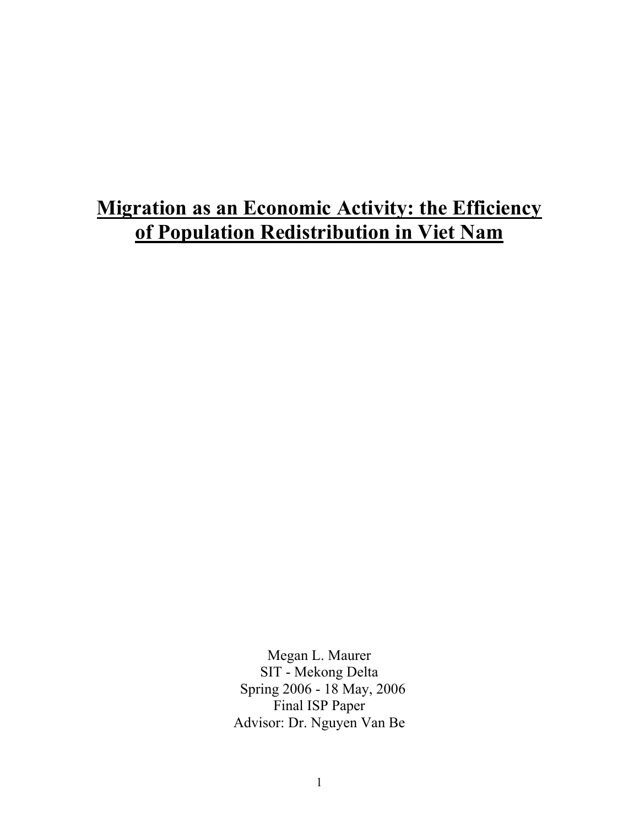# **Migration as an Economic Activity: the Efficiency of Population Redistribution in Viet Nam**

Megan L. Maurer SIT - Mekong Delta Spring 2006 - 18 May, 2006 Final ISP Paper Advisor: Dr. Nguyen Van Be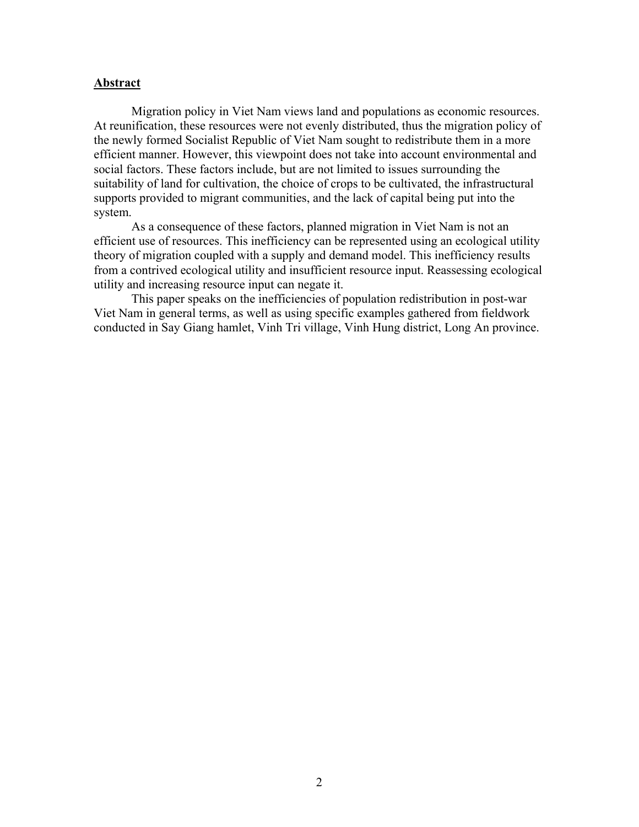#### **Abstract**

Migration policy in Viet Nam views land and populations as economic resources. At reunification, these resources were not evenly distributed, thus the migration policy of the newly formed Socialist Republic of Viet Nam sought to redistribute them in a more efficient manner. However, this viewpoint does not take into account environmental and social factors. These factors include, but are not limited to issues surrounding the suitability of land for cultivation, the choice of crops to be cultivated, the infrastructural supports provided to migrant communities, and the lack of capital being put into the system.

As a consequence of these factors, planned migration in Viet Nam is not an efficient use of resources. This inefficiency can be represented using an ecological utility theory of migration coupled with a supply and demand model. This inefficiency results from a contrived ecological utility and insufficient resource input. Reassessing ecological utility and increasing resource input can negate it.

This paper speaks on the inefficiencies of population redistribution in post-war Viet Nam in general terms, as well as using specific examples gathered from fieldwork conducted in Say Giang hamlet, Vinh Tri village, Vinh Hung district, Long An province.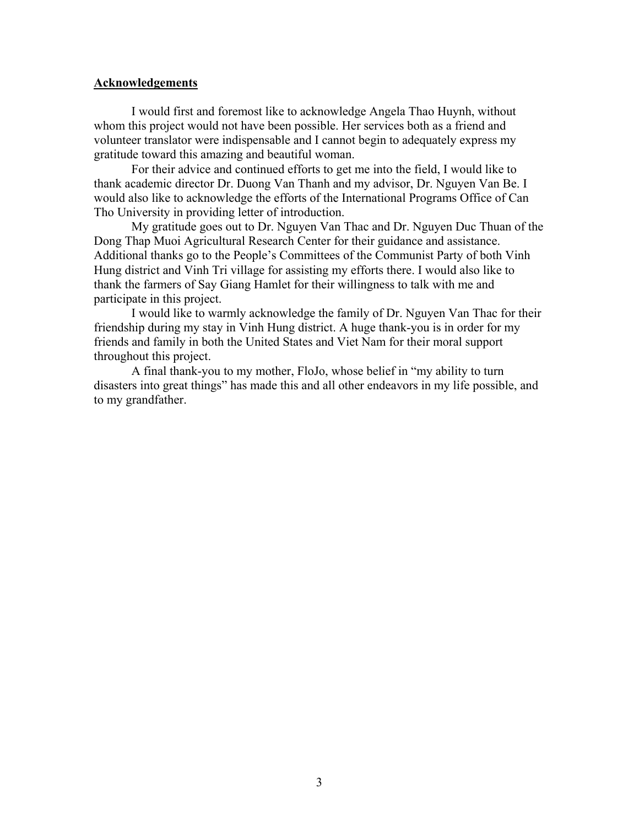#### **Acknowledgements**

 I would first and foremost like to acknowledge Angela Thao Huynh, without whom this project would not have been possible. Her services both as a friend and volunteer translator were indispensable and I cannot begin to adequately express my gratitude toward this amazing and beautiful woman.

 For their advice and continued efforts to get me into the field, I would like to thank academic director Dr. Duong Van Thanh and my advisor, Dr. Nguyen Van Be. I would also like to acknowledge the efforts of the International Programs Office of Can Tho University in providing letter of introduction.

 My gratitude goes out to Dr. Nguyen Van Thac and Dr. Nguyen Duc Thuan of the Dong Thap Muoi Agricultural Research Center for their guidance and assistance. Additional thanks go to the People's Committees of the Communist Party of both Vinh Hung district and Vinh Tri village for assisting my efforts there. I would also like to thank the farmers of Say Giang Hamlet for their willingness to talk with me and participate in this project.

 I would like to warmly acknowledge the family of Dr. Nguyen Van Thac for their friendship during my stay in Vinh Hung district. A huge thank-you is in order for my friends and family in both the United States and Viet Nam for their moral support throughout this project.

 A final thank-you to my mother, FloJo, whose belief in "my ability to turn disasters into great things" has made this and all other endeavors in my life possible, and to my grandfather.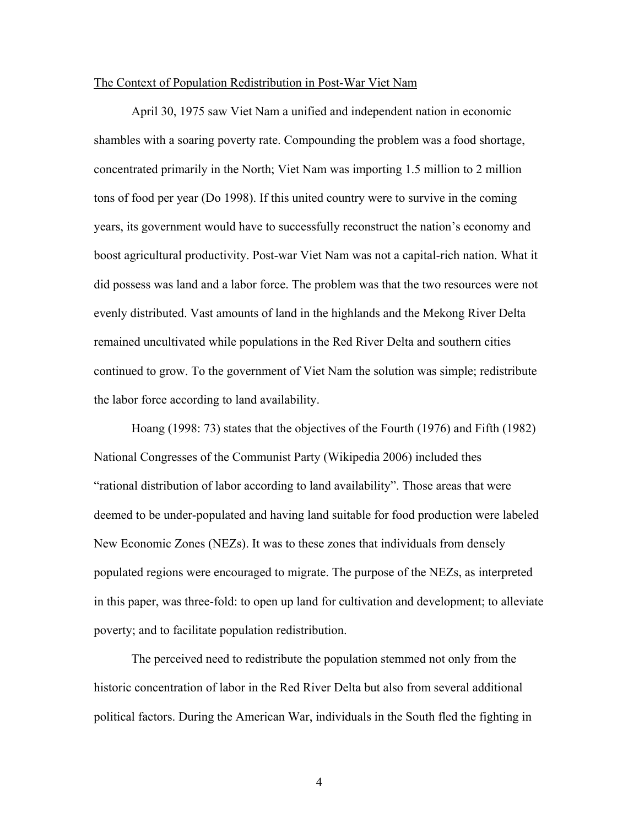#### The Context of Population Redistribution in Post-War Viet Nam

April 30, 1975 saw Viet Nam a unified and independent nation in economic shambles with a soaring poverty rate. Compounding the problem was a food shortage, concentrated primarily in the North; Viet Nam was importing 1.5 million to 2 million tons of food per year (Do 1998). If this united country were to survive in the coming years, its government would have to successfully reconstruct the nation's economy and boost agricultural productivity. Post-war Viet Nam was not a capital-rich nation. What it did possess was land and a labor force. The problem was that the two resources were not evenly distributed. Vast amounts of land in the highlands and the Mekong River Delta remained uncultivated while populations in the Red River Delta and southern cities continued to grow. To the government of Viet Nam the solution was simple; redistribute the labor force according to land availability.

Hoang (1998: 73) states that the objectives of the Fourth (1976) and Fifth (1982) National Congresses of the Communist Party (Wikipedia 2006) included thes "rational distribution of labor according to land availability". Those areas that were deemed to be under-populated and having land suitable for food production were labeled New Economic Zones (NEZs). It was to these zones that individuals from densely populated regions were encouraged to migrate. The purpose of the NEZs, as interpreted in this paper, was three-fold: to open up land for cultivation and development; to alleviate poverty; and to facilitate population redistribution.

The perceived need to redistribute the population stemmed not only from the historic concentration of labor in the Red River Delta but also from several additional political factors. During the American War, individuals in the South fled the fighting in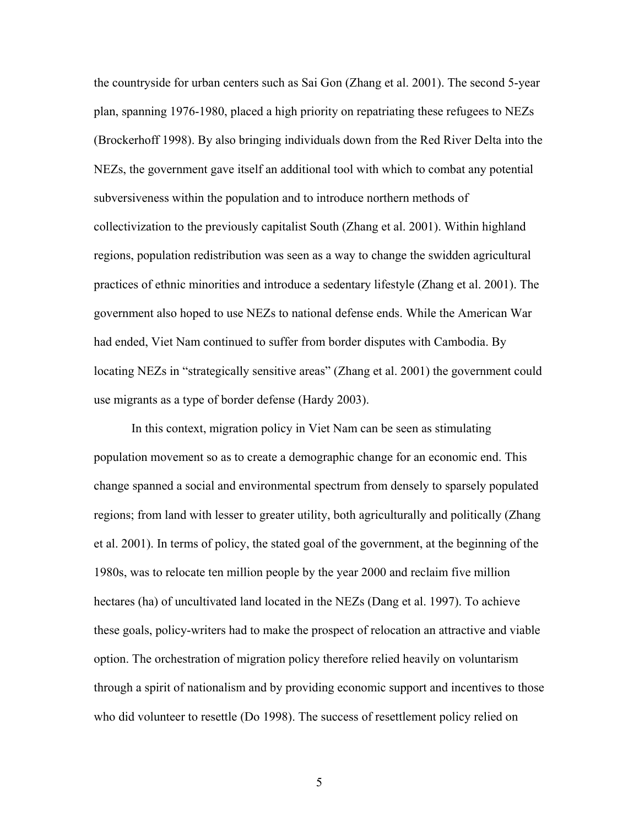the countryside for urban centers such as Sai Gon (Zhang et al. 2001). The second 5-year plan, spanning 1976-1980, placed a high priority on repatriating these refugees to NEZs (Brockerhoff 1998). By also bringing individuals down from the Red River Delta into the NEZs, the government gave itself an additional tool with which to combat any potential subversiveness within the population and to introduce northern methods of collectivization to the previously capitalist South (Zhang et al. 2001). Within highland regions, population redistribution was seen as a way to change the swidden agricultural practices of ethnic minorities and introduce a sedentary lifestyle (Zhang et al. 2001). The government also hoped to use NEZs to national defense ends. While the American War had ended, Viet Nam continued to suffer from border disputes with Cambodia. By locating NEZs in "strategically sensitive areas" (Zhang et al. 2001) the government could use migrants as a type of border defense (Hardy 2003).

In this context, migration policy in Viet Nam can be seen as stimulating population movement so as to create a demographic change for an economic end. This change spanned a social and environmental spectrum from densely to sparsely populated regions; from land with lesser to greater utility, both agriculturally and politically (Zhang et al. 2001). In terms of policy, the stated goal of the government, at the beginning of the 1980s, was to relocate ten million people by the year 2000 and reclaim five million hectares (ha) of uncultivated land located in the NEZs (Dang et al. 1997). To achieve these goals, policy-writers had to make the prospect of relocation an attractive and viable option. The orchestration of migration policy therefore relied heavily on voluntarism through a spirit of nationalism and by providing economic support and incentives to those who did volunteer to resettle (Do 1998). The success of resettlement policy relied on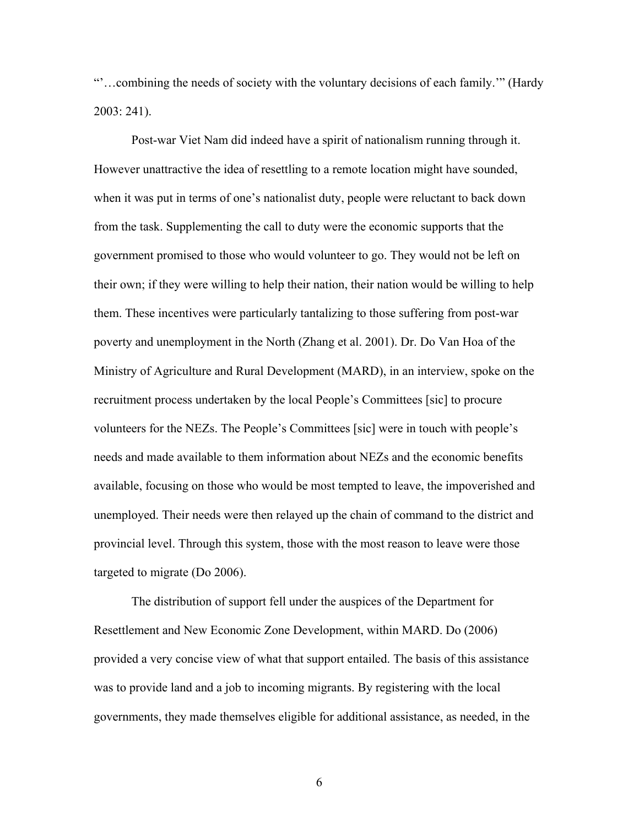"'…combining the needs of society with the voluntary decisions of each family.'" (Hardy 2003: 241).

Post-war Viet Nam did indeed have a spirit of nationalism running through it. However unattractive the idea of resettling to a remote location might have sounded, when it was put in terms of one's nationalist duty, people were reluctant to back down from the task. Supplementing the call to duty were the economic supports that the government promised to those who would volunteer to go. They would not be left on their own; if they were willing to help their nation, their nation would be willing to help them. These incentives were particularly tantalizing to those suffering from post-war poverty and unemployment in the North (Zhang et al. 2001). Dr. Do Van Hoa of the Ministry of Agriculture and Rural Development (MARD), in an interview, spoke on the recruitment process undertaken by the local People's Committees [sic] to procure volunteers for the NEZs. The People's Committees [sic] were in touch with people's needs and made available to them information about NEZs and the economic benefits available, focusing on those who would be most tempted to leave, the impoverished and unemployed. Their needs were then relayed up the chain of command to the district and provincial level. Through this system, those with the most reason to leave were those targeted to migrate (Do 2006).

The distribution of support fell under the auspices of the Department for Resettlement and New Economic Zone Development, within MARD. Do (2006) provided a very concise view of what that support entailed. The basis of this assistance was to provide land and a job to incoming migrants. By registering with the local governments, they made themselves eligible for additional assistance, as needed, in the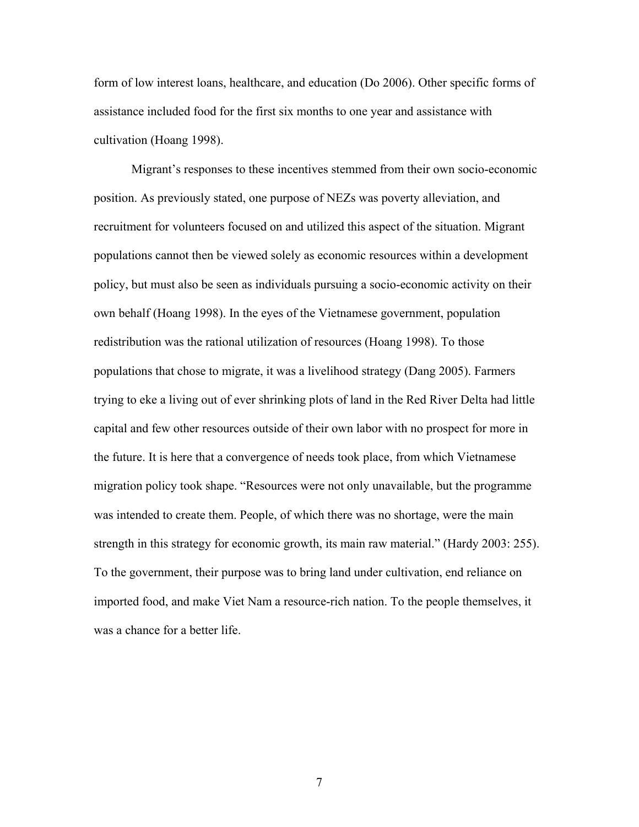form of low interest loans, healthcare, and education (Do 2006). Other specific forms of assistance included food for the first six months to one year and assistance with cultivation (Hoang 1998).

Migrant's responses to these incentives stemmed from their own socio-economic position. As previously stated, one purpose of NEZs was poverty alleviation, and recruitment for volunteers focused on and utilized this aspect of the situation. Migrant populations cannot then be viewed solely as economic resources within a development policy, but must also be seen as individuals pursuing a socio-economic activity on their own behalf (Hoang 1998). In the eyes of the Vietnamese government, population redistribution was the rational utilization of resources (Hoang 1998). To those populations that chose to migrate, it was a livelihood strategy (Dang 2005). Farmers trying to eke a living out of ever shrinking plots of land in the Red River Delta had little capital and few other resources outside of their own labor with no prospect for more in the future. It is here that a convergence of needs took place, from which Vietnamese migration policy took shape. "Resources were not only unavailable, but the programme was intended to create them. People, of which there was no shortage, were the main strength in this strategy for economic growth, its main raw material." (Hardy 2003: 255). To the government, their purpose was to bring land under cultivation, end reliance on imported food, and make Viet Nam a resource-rich nation. To the people themselves, it was a chance for a better life.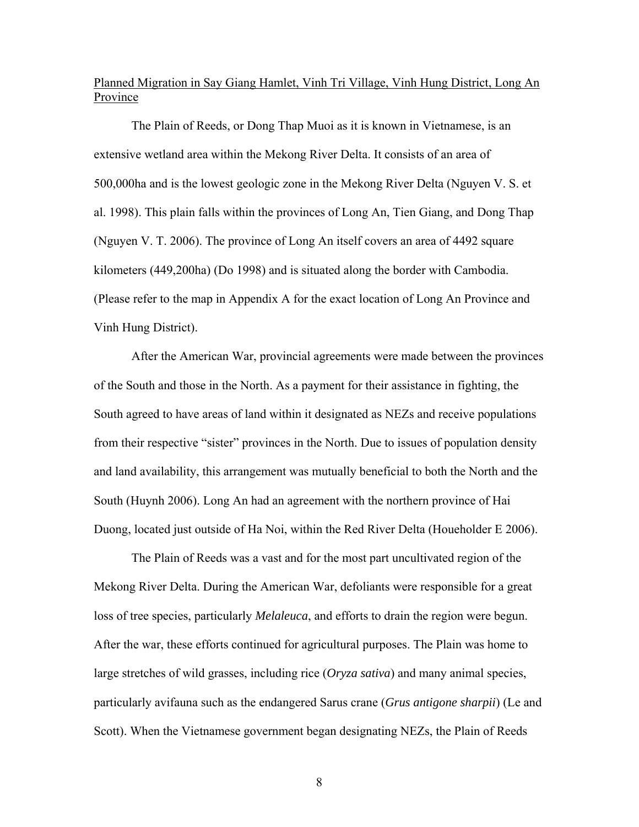## Planned Migration in Say Giang Hamlet, Vinh Tri Village, Vinh Hung District, Long An Province

 The Plain of Reeds, or Dong Thap Muoi as it is known in Vietnamese, is an extensive wetland area within the Mekong River Delta. It consists of an area of 500,000ha and is the lowest geologic zone in the Mekong River Delta (Nguyen V. S. et al. 1998). This plain falls within the provinces of Long An, Tien Giang, and Dong Thap (Nguyen V. T. 2006). The province of Long An itself covers an area of 4492 square kilometers (449,200ha) (Do 1998) and is situated along the border with Cambodia. (Please refer to the map in Appendix A for the exact location of Long An Province and Vinh Hung District).

 After the American War, provincial agreements were made between the provinces of the South and those in the North. As a payment for their assistance in fighting, the South agreed to have areas of land within it designated as NEZs and receive populations from their respective "sister" provinces in the North. Due to issues of population density and land availability, this arrangement was mutually beneficial to both the North and the South (Huynh 2006). Long An had an agreement with the northern province of Hai Duong, located just outside of Ha Noi, within the Red River Delta (Houeholder E 2006).

 The Plain of Reeds was a vast and for the most part uncultivated region of the Mekong River Delta. During the American War, defoliants were responsible for a great loss of tree species, particularly *Melaleuca*, and efforts to drain the region were begun. After the war, these efforts continued for agricultural purposes. The Plain was home to large stretches of wild grasses, including rice (*Oryza sativa*) and many animal species, particularly avifauna such as the endangered Sarus crane (*Grus antigone sharpii*) (Le and Scott). When the Vietnamese government began designating NEZs, the Plain of Reeds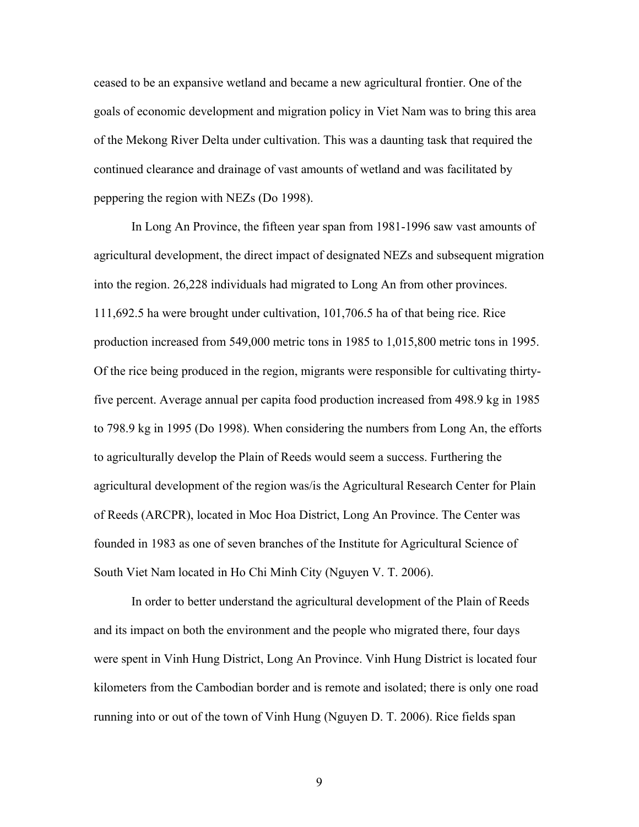ceased to be an expansive wetland and became a new agricultural frontier. One of the goals of economic development and migration policy in Viet Nam was to bring this area of the Mekong River Delta under cultivation. This was a daunting task that required the continued clearance and drainage of vast amounts of wetland and was facilitated by peppering the region with NEZs (Do 1998).

 In Long An Province, the fifteen year span from 1981-1996 saw vast amounts of agricultural development, the direct impact of designated NEZs and subsequent migration into the region. 26,228 individuals had migrated to Long An from other provinces. 111,692.5 ha were brought under cultivation, 101,706.5 ha of that being rice. Rice production increased from 549,000 metric tons in 1985 to 1,015,800 metric tons in 1995. Of the rice being produced in the region, migrants were responsible for cultivating thirtyfive percent. Average annual per capita food production increased from 498.9 kg in 1985 to 798.9 kg in 1995 (Do 1998). When considering the numbers from Long An, the efforts to agriculturally develop the Plain of Reeds would seem a success. Furthering the agricultural development of the region was/is the Agricultural Research Center for Plain of Reeds (ARCPR), located in Moc Hoa District, Long An Province. The Center was founded in 1983 as one of seven branches of the Institute for Agricultural Science of South Viet Nam located in Ho Chi Minh City (Nguyen V. T. 2006).

 In order to better understand the agricultural development of the Plain of Reeds and its impact on both the environment and the people who migrated there, four days were spent in Vinh Hung District, Long An Province. Vinh Hung District is located four kilometers from the Cambodian border and is remote and isolated; there is only one road running into or out of the town of Vinh Hung (Nguyen D. T. 2006). Rice fields span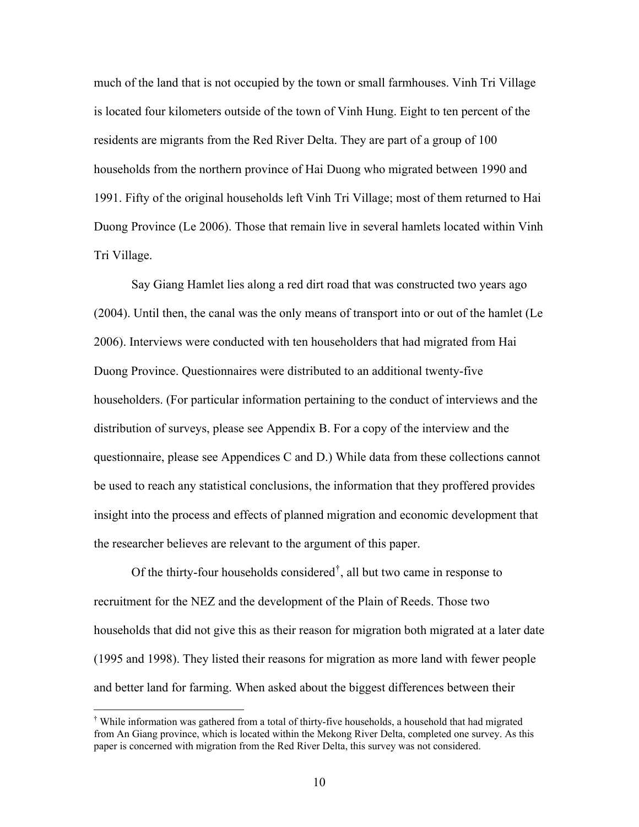much of the land that is not occupied by the town or small farmhouses. Vinh Tri Village is located four kilometers outside of the town of Vinh Hung. Eight to ten percent of the residents are migrants from the Red River Delta. They are part of a group of 100 households from the northern province of Hai Duong who migrated between 1990 and 1991. Fifty of the original households left Vinh Tri Village; most of them returned to Hai Duong Province (Le 2006). Those that remain live in several hamlets located within Vinh Tri Village.

 Say Giang Hamlet lies along a red dirt road that was constructed two years ago (2004). Until then, the canal was the only means of transport into or out of the hamlet (Le 2006). Interviews were conducted with ten householders that had migrated from Hai Duong Province. Questionnaires were distributed to an additional twenty-five householders. (For particular information pertaining to the conduct of interviews and the distribution of surveys, please see Appendix B. For a copy of the interview and the questionnaire, please see Appendices C and D.) While data from these collections cannot be used to reach any statistical conclusions, the information that they proffered provides insight into the process and effects of planned migration and economic development that the researcher believes are relevant to the argument of this paper.

Of the thirty-four households considered<sup> $\dagger$ </sup>, all but two came in response to recruitment for the NEZ and the development of the Plain of Reeds. Those two households that did not give this as their reason for migration both migrated at a later date (1995 and 1998). They listed their reasons for migration as more land with fewer people and better land for farming. When asked about the biggest differences between their

 $\overline{a}$ 

<span id="page-10-0"></span><sup>†</sup> While information was gathered from a total of thirty-five households, a household that had migrated from An Giang province, which is located within the Mekong River Delta, completed one survey. As this paper is concerned with migration from the Red River Delta, this survey was not considered.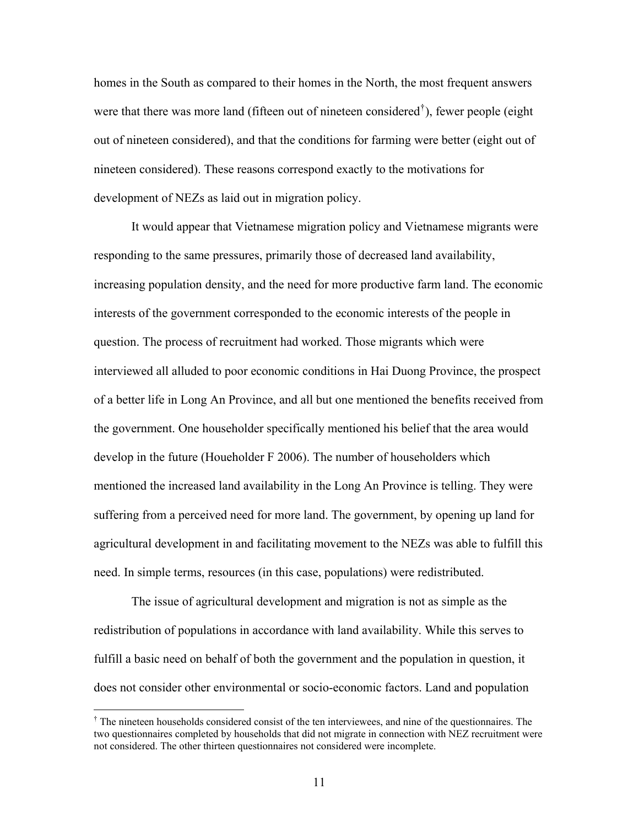homes in the South as compared to their homes in the North, the most frequent answers were that there was more land (fifteen out of nineteen considered<sup>[†](#page-11-0)</sup>), fewer people (eight out of nineteen considered), and that the conditions for farming were better (eight out of nineteen considered). These reasons correspond exactly to the motivations for development of NEZs as laid out in migration policy.

It would appear that Vietnamese migration policy and Vietnamese migrants were responding to the same pressures, primarily those of decreased land availability, increasing population density, and the need for more productive farm land. The economic interests of the government corresponded to the economic interests of the people in question. The process of recruitment had worked. Those migrants which were interviewed all alluded to poor economic conditions in Hai Duong Province, the prospect of a better life in Long An Province, and all but one mentioned the benefits received from the government. One householder specifically mentioned his belief that the area would develop in the future (Houeholder F 2006). The number of householders which mentioned the increased land availability in the Long An Province is telling. They were suffering from a perceived need for more land. The government, by opening up land for agricultural development in and facilitating movement to the NEZs was able to fulfill this need. In simple terms, resources (in this case, populations) were redistributed.

The issue of agricultural development and migration is not as simple as the redistribution of populations in accordance with land availability. While this serves to fulfill a basic need on behalf of both the government and the population in question, it does not consider other environmental or socio-economic factors. Land and population

 $\overline{a}$ 

<span id="page-11-0"></span><sup>&</sup>lt;sup>†</sup> The nineteen households considered consist of the ten interviewees, and nine of the questionnaires. The two questionnaires completed by households that did not migrate in connection with NEZ recruitment were not considered. The other thirteen questionnaires not considered were incomplete.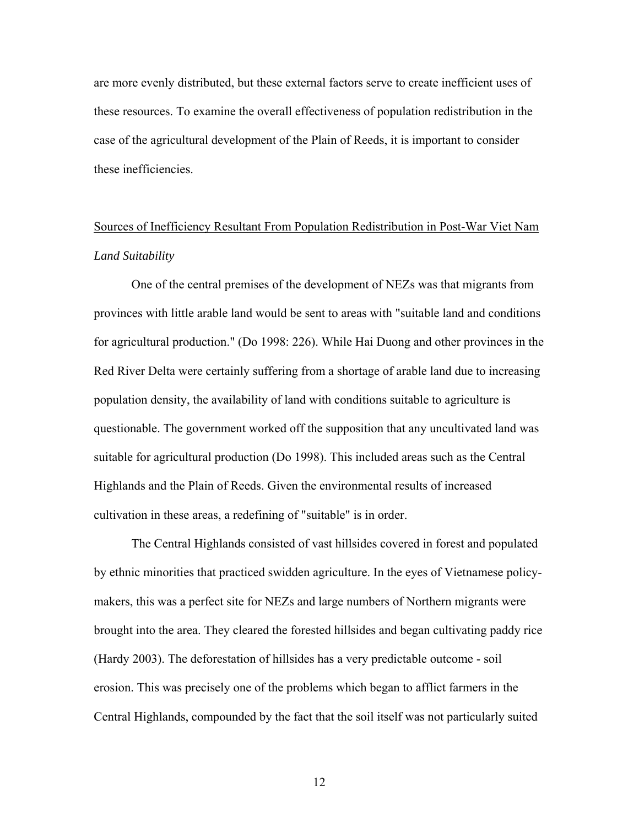are more evenly distributed, but these external factors serve to create inefficient uses of these resources. To examine the overall effectiveness of population redistribution in the case of the agricultural development of the Plain of Reeds, it is important to consider these inefficiencies.

# Sources of Inefficiency Resultant From Population Redistribution in Post-War Viet Nam *Land Suitability*

One of the central premises of the development of NEZs was that migrants from provinces with little arable land would be sent to areas with "suitable land and conditions for agricultural production." (Do 1998: 226). While Hai Duong and other provinces in the Red River Delta were certainly suffering from a shortage of arable land due to increasing population density, the availability of land with conditions suitable to agriculture is questionable. The government worked off the supposition that any uncultivated land was suitable for agricultural production (Do 1998). This included areas such as the Central Highlands and the Plain of Reeds. Given the environmental results of increased cultivation in these areas, a redefining of "suitable" is in order.

The Central Highlands consisted of vast hillsides covered in forest and populated by ethnic minorities that practiced swidden agriculture. In the eyes of Vietnamese policymakers, this was a perfect site for NEZs and large numbers of Northern migrants were brought into the area. They cleared the forested hillsides and began cultivating paddy rice (Hardy 2003). The deforestation of hillsides has a very predictable outcome - soil erosion. This was precisely one of the problems which began to afflict farmers in the Central Highlands, compounded by the fact that the soil itself was not particularly suited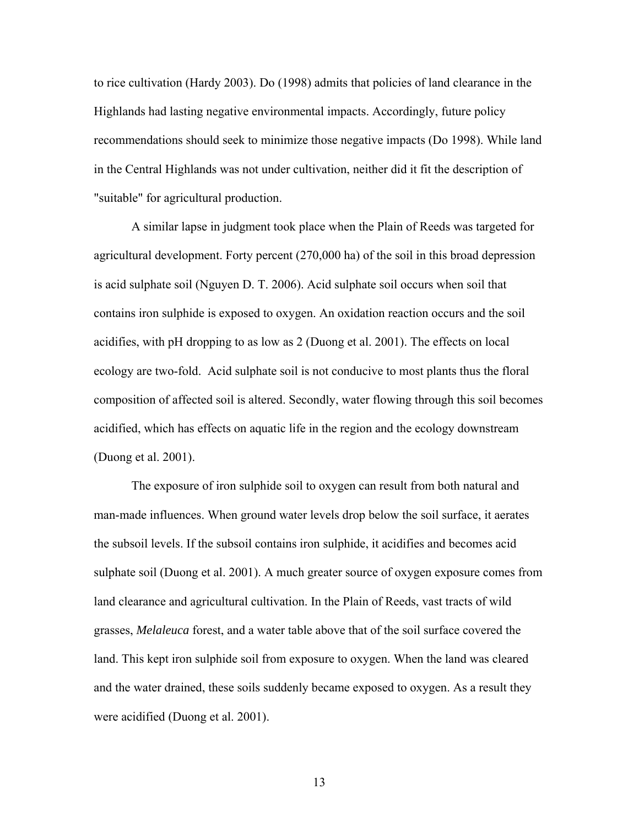to rice cultivation (Hardy 2003). Do (1998) admits that policies of land clearance in the Highlands had lasting negative environmental impacts. Accordingly, future policy recommendations should seek to minimize those negative impacts (Do 1998). While land in the Central Highlands was not under cultivation, neither did it fit the description of "suitable" for agricultural production.

A similar lapse in judgment took place when the Plain of Reeds was targeted for agricultural development. Forty percent (270,000 ha) of the soil in this broad depression is acid sulphate soil (Nguyen D. T. 2006). Acid sulphate soil occurs when soil that contains iron sulphide is exposed to oxygen. An oxidation reaction occurs and the soil acidifies, with pH dropping to as low as 2 (Duong et al. 2001). The effects on local ecology are two-fold. Acid sulphate soil is not conducive to most plants thus the floral composition of affected soil is altered. Secondly, water flowing through this soil becomes acidified, which has effects on aquatic life in the region and the ecology downstream (Duong et al. 2001).

The exposure of iron sulphide soil to oxygen can result from both natural and man-made influences. When ground water levels drop below the soil surface, it aerates the subsoil levels. If the subsoil contains iron sulphide, it acidifies and becomes acid sulphate soil (Duong et al. 2001). A much greater source of oxygen exposure comes from land clearance and agricultural cultivation. In the Plain of Reeds, vast tracts of wild grasses, *Melaleuca* forest, and a water table above that of the soil surface covered the land. This kept iron sulphide soil from exposure to oxygen. When the land was cleared and the water drained, these soils suddenly became exposed to oxygen. As a result they were acidified (Duong et al. 2001).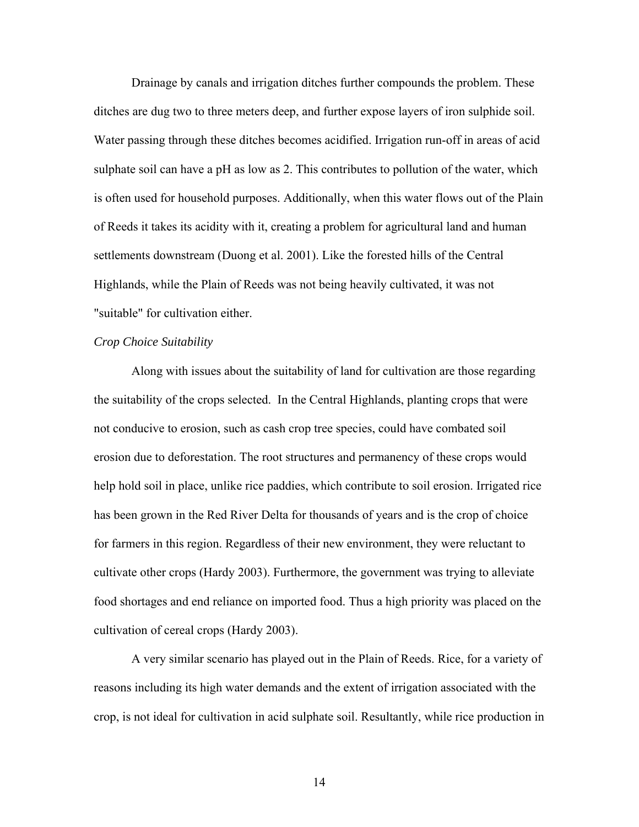Drainage by canals and irrigation ditches further compounds the problem. These ditches are dug two to three meters deep, and further expose layers of iron sulphide soil. Water passing through these ditches becomes acidified. Irrigation run-off in areas of acid sulphate soil can have a pH as low as 2. This contributes to pollution of the water, which is often used for household purposes. Additionally, when this water flows out of the Plain of Reeds it takes its acidity with it, creating a problem for agricultural land and human settlements downstream (Duong et al. 2001). Like the forested hills of the Central Highlands, while the Plain of Reeds was not being heavily cultivated, it was not "suitable" for cultivation either.

#### *Crop Choice Suitability*

Along with issues about the suitability of land for cultivation are those regarding the suitability of the crops selected. In the Central Highlands, planting crops that were not conducive to erosion, such as cash crop tree species, could have combated soil erosion due to deforestation. The root structures and permanency of these crops would help hold soil in place, unlike rice paddies, which contribute to soil erosion. Irrigated rice has been grown in the Red River Delta for thousands of years and is the crop of choice for farmers in this region. Regardless of their new environment, they were reluctant to cultivate other crops (Hardy 2003). Furthermore, the government was trying to alleviate food shortages and end reliance on imported food. Thus a high priority was placed on the cultivation of cereal crops (Hardy 2003).

A very similar scenario has played out in the Plain of Reeds. Rice, for a variety of reasons including its high water demands and the extent of irrigation associated with the crop, is not ideal for cultivation in acid sulphate soil. Resultantly, while rice production in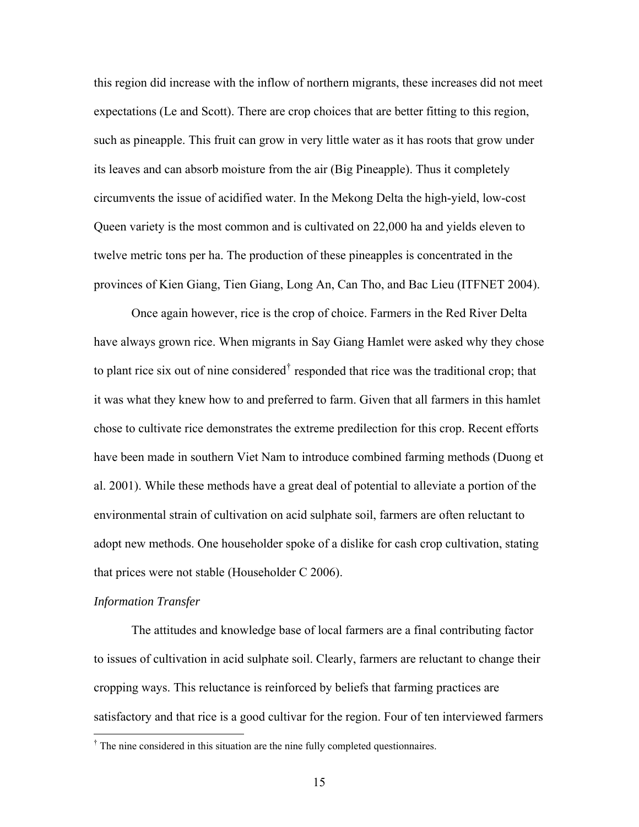this region did increase with the inflow of northern migrants, these increases did not meet expectations (Le and Scott). There are crop choices that are better fitting to this region, such as pineapple. This fruit can grow in very little water as it has roots that grow under its leaves and can absorb moisture from the air (Big Pineapple). Thus it completely circumvents the issue of acidified water. In the Mekong Delta the high-yield, low-cost Queen variety is the most common and is cultivated on 22,000 ha and yields eleven to twelve metric tons per ha. The production of these pineapples is concentrated in the provinces of Kien Giang, Tien Giang, Long An, Can Tho, and Bac Lieu (ITFNET 2004).

Once again however, rice is the crop of choice. Farmers in the Red River Delta have always grown rice. When migrants in Say Giang Hamlet were asked why they chose to plant rice six out of nine considered<sup> $\dagger$ </sup> responded that rice was the traditional crop; that it was what they knew how to and preferred to farm. Given that all farmers in this hamlet chose to cultivate rice demonstrates the extreme predilection for this crop. Recent efforts have been made in southern Viet Nam to introduce combined farming methods (Duong et al. 2001). While these methods have a great deal of potential to alleviate a portion of the environmental strain of cultivation on acid sulphate soil, farmers are often reluctant to adopt new methods. One householder spoke of a dislike for cash crop cultivation, stating that prices were not stable (Householder C 2006).

#### *Information Transfer*

 $\overline{a}$ 

The attitudes and knowledge base of local farmers are a final contributing factor to issues of cultivation in acid sulphate soil. Clearly, farmers are reluctant to change their cropping ways. This reluctance is reinforced by beliefs that farming practices are satisfactory and that rice is a good cultivar for the region. Four of ten interviewed farmers

<span id="page-15-0"></span><sup>&</sup>lt;sup>†</sup> The nine considered in this situation are the nine fully completed questionnaires.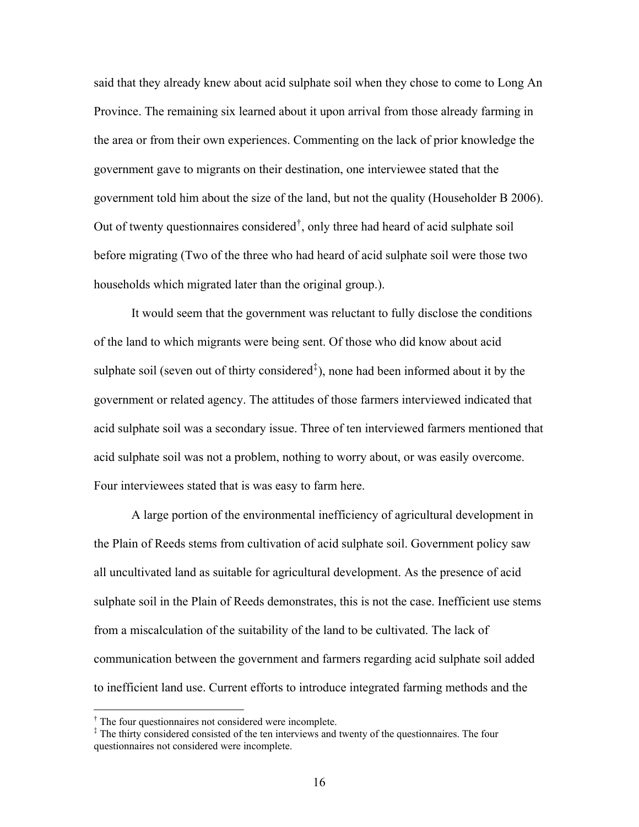said that they already knew about acid sulphate soil when they chose to come to Long An Province. The remaining six learned about it upon arrival from those already farming in the area or from their own experiences. Commenting on the lack of prior knowledge the government gave to migrants on their destination, one interviewee stated that the government told him about the size of the land, but not the quality (Householder B 2006). Out of twenty questionnaires considered[†](#page-16-0) , only three had heard of acid sulphate soil before migrating (Two of the three who had heard of acid sulphate soil were those two households which migrated later than the original group.).

It would seem that the government was reluctant to fully disclose the conditions of the land to which migrants were being sent. Of those who did know about acid sulphate soil (seven out of thirty considered<sup> $\ddagger$ </sup>), none had been informed about it by the government or related agency. The attitudes of those farmers interviewed indicated that acid sulphate soil was a secondary issue. Three of ten interviewed farmers mentioned that acid sulphate soil was not a problem, nothing to worry about, or was easily overcome. Four interviewees stated that is was easy to farm here.

A large portion of the environmental inefficiency of agricultural development in the Plain of Reeds stems from cultivation of acid sulphate soil. Government policy saw all uncultivated land as suitable for agricultural development. As the presence of acid sulphate soil in the Plain of Reeds demonstrates, this is not the case. Inefficient use stems from a miscalculation of the suitability of the land to be cultivated. The lack of communication between the government and farmers regarding acid sulphate soil added to inefficient land use. Current efforts to introduce integrated farming methods and the

 $\overline{a}$ 

<span id="page-16-0"></span><sup>†</sup> The four questionnaires not considered were incomplete.

<span id="page-16-1"></span><sup>‡</sup> The thirty considered consisted of the ten interviews and twenty of the questionnaires. The four questionnaires not considered were incomplete.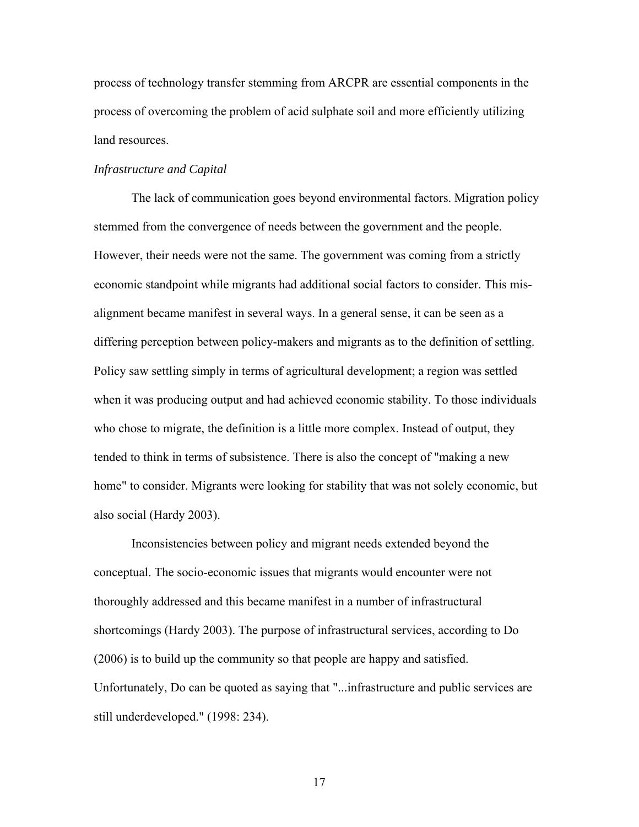process of technology transfer stemming from ARCPR are essential components in the process of overcoming the problem of acid sulphate soil and more efficiently utilizing land resources.

#### *Infrastructure and Capital*

 The lack of communication goes beyond environmental factors. Migration policy stemmed from the convergence of needs between the government and the people. However, their needs were not the same. The government was coming from a strictly economic standpoint while migrants had additional social factors to consider. This misalignment became manifest in several ways. In a general sense, it can be seen as a differing perception between policy-makers and migrants as to the definition of settling. Policy saw settling simply in terms of agricultural development; a region was settled when it was producing output and had achieved economic stability. To those individuals who chose to migrate, the definition is a little more complex. Instead of output, they tended to think in terms of subsistence. There is also the concept of "making a new home" to consider. Migrants were looking for stability that was not solely economic, but also social (Hardy 2003).

Inconsistencies between policy and migrant needs extended beyond the conceptual. The socio-economic issues that migrants would encounter were not thoroughly addressed and this became manifest in a number of infrastructural shortcomings (Hardy 2003). The purpose of infrastructural services, according to Do (2006) is to build up the community so that people are happy and satisfied. Unfortunately, Do can be quoted as saying that "...infrastructure and public services are still underdeveloped." (1998: 234).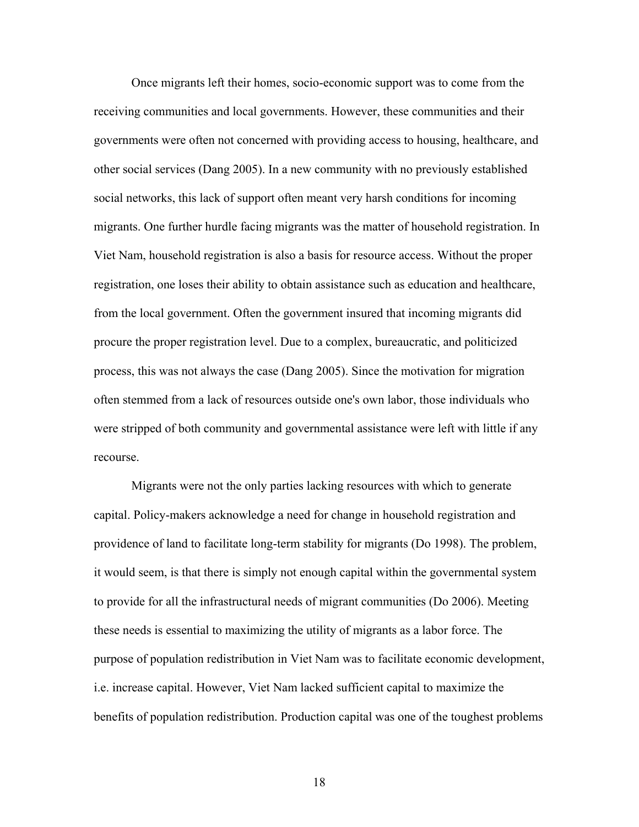Once migrants left their homes, socio-economic support was to come from the receiving communities and local governments. However, these communities and their governments were often not concerned with providing access to housing, healthcare, and other social services (Dang 2005). In a new community with no previously established social networks, this lack of support often meant very harsh conditions for incoming migrants. One further hurdle facing migrants was the matter of household registration. In Viet Nam, household registration is also a basis for resource access. Without the proper registration, one loses their ability to obtain assistance such as education and healthcare, from the local government. Often the government insured that incoming migrants did procure the proper registration level. Due to a complex, bureaucratic, and politicized process, this was not always the case (Dang 2005). Since the motivation for migration often stemmed from a lack of resources outside one's own labor, those individuals who were stripped of both community and governmental assistance were left with little if any recourse.

Migrants were not the only parties lacking resources with which to generate capital. Policy-makers acknowledge a need for change in household registration and providence of land to facilitate long-term stability for migrants (Do 1998). The problem, it would seem, is that there is simply not enough capital within the governmental system to provide for all the infrastructural needs of migrant communities (Do 2006). Meeting these needs is essential to maximizing the utility of migrants as a labor force. The purpose of population redistribution in Viet Nam was to facilitate economic development, i.e. increase capital. However, Viet Nam lacked sufficient capital to maximize the benefits of population redistribution. Production capital was one of the toughest problems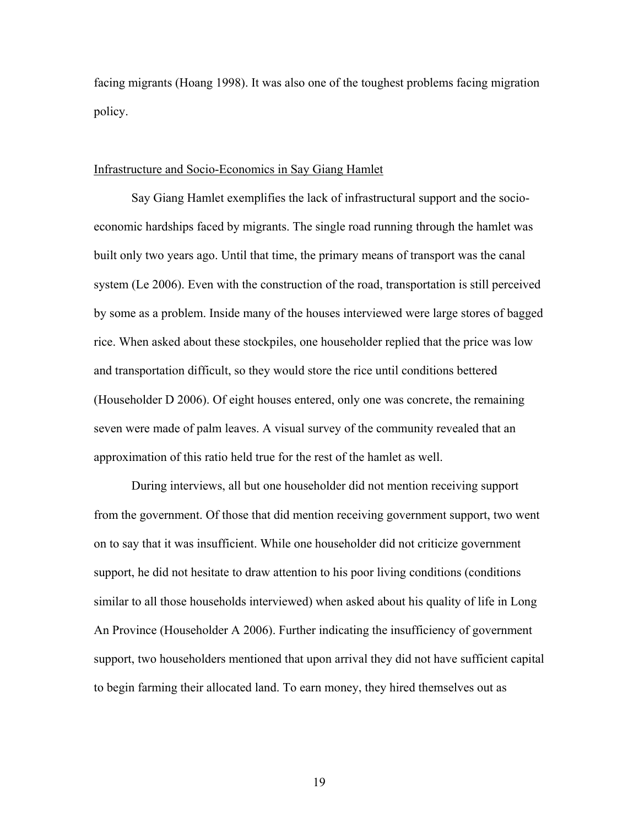facing migrants (Hoang 1998). It was also one of the toughest problems facing migration policy.

#### Infrastructure and Socio-Economics in Say Giang Hamlet

Say Giang Hamlet exemplifies the lack of infrastructural support and the socioeconomic hardships faced by migrants. The single road running through the hamlet was built only two years ago. Until that time, the primary means of transport was the canal system (Le 2006). Even with the construction of the road, transportation is still perceived by some as a problem. Inside many of the houses interviewed were large stores of bagged rice. When asked about these stockpiles, one householder replied that the price was low and transportation difficult, so they would store the rice until conditions bettered (Householder D 2006). Of eight houses entered, only one was concrete, the remaining seven were made of palm leaves. A visual survey of the community revealed that an approximation of this ratio held true for the rest of the hamlet as well.

 During interviews, all but one householder did not mention receiving support from the government. Of those that did mention receiving government support, two went on to say that it was insufficient. While one householder did not criticize government support, he did not hesitate to draw attention to his poor living conditions (conditions similar to all those households interviewed) when asked about his quality of life in Long An Province (Householder A 2006). Further indicating the insufficiency of government support, two householders mentioned that upon arrival they did not have sufficient capital to begin farming their allocated land. To earn money, they hired themselves out as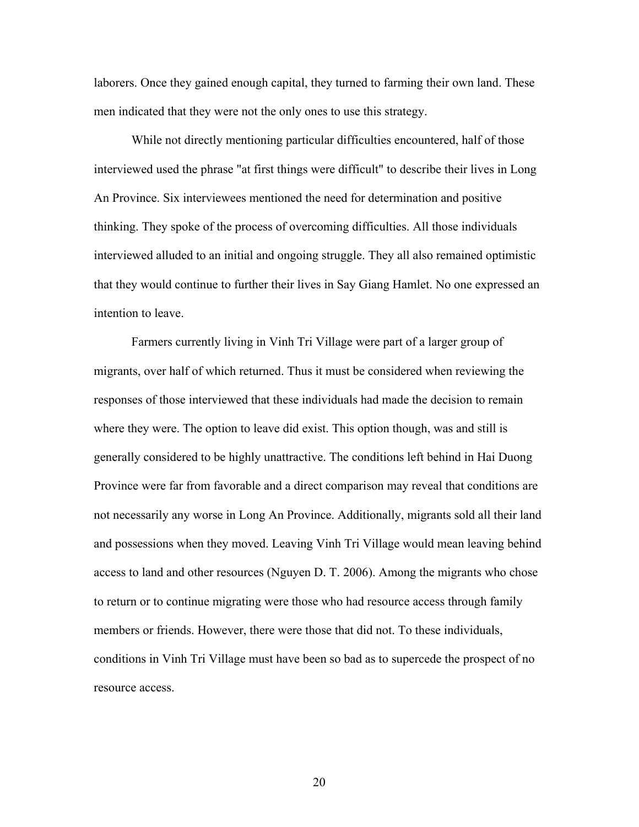laborers. Once they gained enough capital, they turned to farming their own land. These men indicated that they were not the only ones to use this strategy.

 While not directly mentioning particular difficulties encountered, half of those interviewed used the phrase "at first things were difficult" to describe their lives in Long An Province. Six interviewees mentioned the need for determination and positive thinking. They spoke of the process of overcoming difficulties. All those individuals interviewed alluded to an initial and ongoing struggle. They all also remained optimistic that they would continue to further their lives in Say Giang Hamlet. No one expressed an intention to leave.

 Farmers currently living in Vinh Tri Village were part of a larger group of migrants, over half of which returned. Thus it must be considered when reviewing the responses of those interviewed that these individuals had made the decision to remain where they were. The option to leave did exist. This option though, was and still is generally considered to be highly unattractive. The conditions left behind in Hai Duong Province were far from favorable and a direct comparison may reveal that conditions are not necessarily any worse in Long An Province. Additionally, migrants sold all their land and possessions when they moved. Leaving Vinh Tri Village would mean leaving behind access to land and other resources (Nguyen D. T. 2006). Among the migrants who chose to return or to continue migrating were those who had resource access through family members or friends. However, there were those that did not. To these individuals, conditions in Vinh Tri Village must have been so bad as to supercede the prospect of no resource access.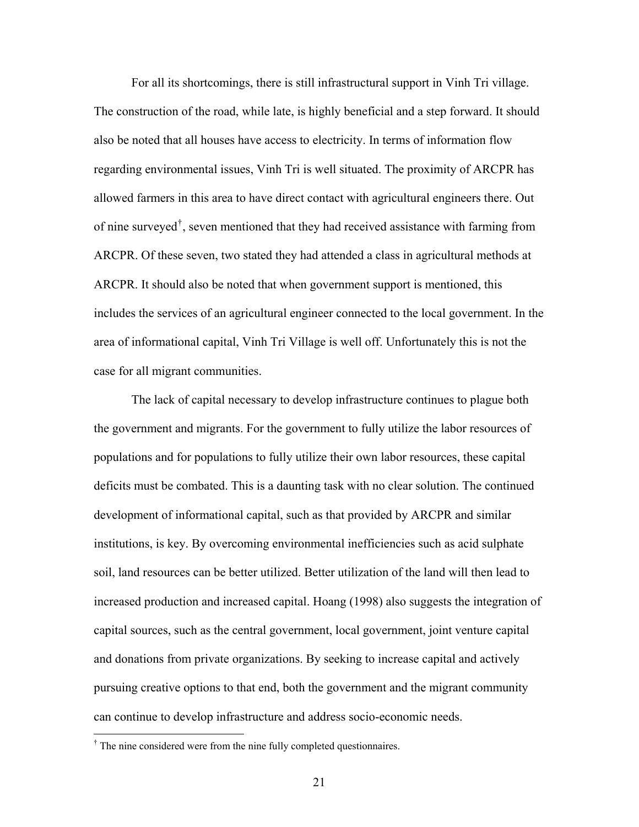For all its shortcomings, there is still infrastructural support in Vinh Tri village. The construction of the road, while late, is highly beneficial and a step forward. It should also be noted that all houses have access to electricity. In terms of information flow regarding environmental issues, Vinh Tri is well situated. The proximity of ARCPR has allowed farmers in this area to have direct contact with agricultural engineers there. Out of nine surveyed[†](#page-21-0) , seven mentioned that they had received assistance with farming from ARCPR. Of these seven, two stated they had attended a class in agricultural methods at ARCPR. It should also be noted that when government support is mentioned, this includes the services of an agricultural engineer connected to the local government. In the area of informational capital, Vinh Tri Village is well off. Unfortunately this is not the case for all migrant communities.

 The lack of capital necessary to develop infrastructure continues to plague both the government and migrants. For the government to fully utilize the labor resources of populations and for populations to fully utilize their own labor resources, these capital deficits must be combated. This is a daunting task with no clear solution. The continued development of informational capital, such as that provided by ARCPR and similar institutions, is key. By overcoming environmental inefficiencies such as acid sulphate soil, land resources can be better utilized. Better utilization of the land will then lead to increased production and increased capital. Hoang (1998) also suggests the integration of capital sources, such as the central government, local government, joint venture capital and donations from private organizations. By seeking to increase capital and actively pursuing creative options to that end, both the government and the migrant community can continue to develop infrastructure and address socio-economic needs.

<span id="page-21-0"></span> † The nine considered were from the nine fully completed questionnaires.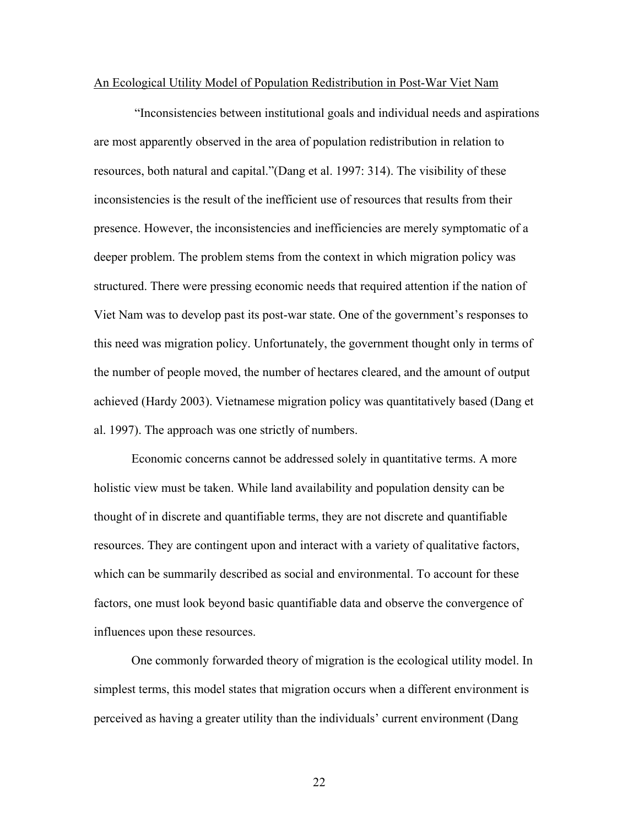#### An Ecological Utility Model of Population Redistribution in Post-War Viet Nam

 "Inconsistencies between institutional goals and individual needs and aspirations are most apparently observed in the area of population redistribution in relation to resources, both natural and capital."(Dang et al. 1997: 314). The visibility of these inconsistencies is the result of the inefficient use of resources that results from their presence. However, the inconsistencies and inefficiencies are merely symptomatic of a deeper problem. The problem stems from the context in which migration policy was structured. There were pressing economic needs that required attention if the nation of Viet Nam was to develop past its post-war state. One of the government's responses to this need was migration policy. Unfortunately, the government thought only in terms of the number of people moved, the number of hectares cleared, and the amount of output achieved (Hardy 2003). Vietnamese migration policy was quantitatively based (Dang et al. 1997). The approach was one strictly of numbers.

Economic concerns cannot be addressed solely in quantitative terms. A more holistic view must be taken. While land availability and population density can be thought of in discrete and quantifiable terms, they are not discrete and quantifiable resources. They are contingent upon and interact with a variety of qualitative factors, which can be summarily described as social and environmental. To account for these factors, one must look beyond basic quantifiable data and observe the convergence of influences upon these resources.

One commonly forwarded theory of migration is the ecological utility model. In simplest terms, this model states that migration occurs when a different environment is perceived as having a greater utility than the individuals' current environment (Dang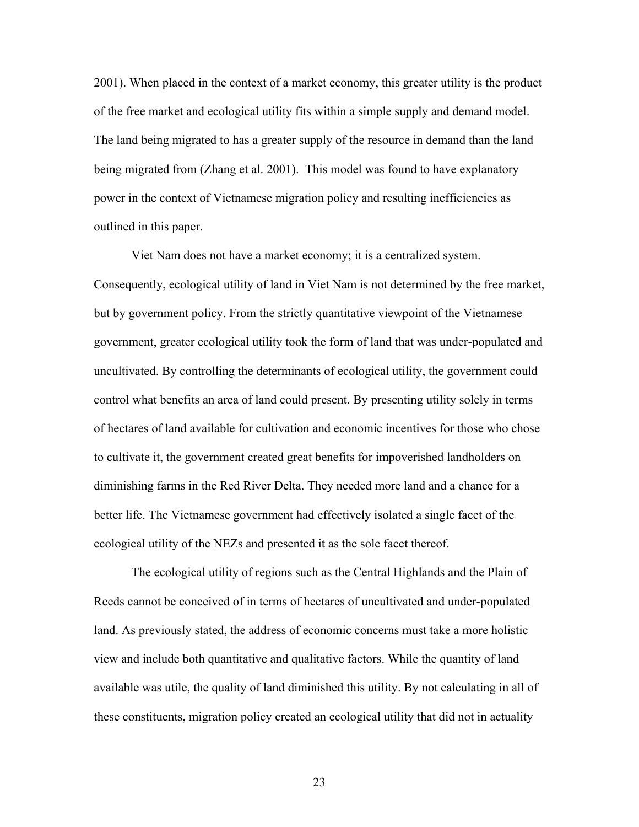2001). When placed in the context of a market economy, this greater utility is the product of the free market and ecological utility fits within a simple supply and demand model. The land being migrated to has a greater supply of the resource in demand than the land being migrated from (Zhang et al. 2001). This model was found to have explanatory power in the context of Vietnamese migration policy and resulting inefficiencies as outlined in this paper.

Viet Nam does not have a market economy; it is a centralized system. Consequently, ecological utility of land in Viet Nam is not determined by the free market, but by government policy. From the strictly quantitative viewpoint of the Vietnamese government, greater ecological utility took the form of land that was under-populated and uncultivated. By controlling the determinants of ecological utility, the government could control what benefits an area of land could present. By presenting utility solely in terms of hectares of land available for cultivation and economic incentives for those who chose to cultivate it, the government created great benefits for impoverished landholders on diminishing farms in the Red River Delta. They needed more land and a chance for a better life. The Vietnamese government had effectively isolated a single facet of the ecological utility of the NEZs and presented it as the sole facet thereof.

The ecological utility of regions such as the Central Highlands and the Plain of Reeds cannot be conceived of in terms of hectares of uncultivated and under-populated land. As previously stated, the address of economic concerns must take a more holistic view and include both quantitative and qualitative factors. While the quantity of land available was utile, the quality of land diminished this utility. By not calculating in all of these constituents, migration policy created an ecological utility that did not in actuality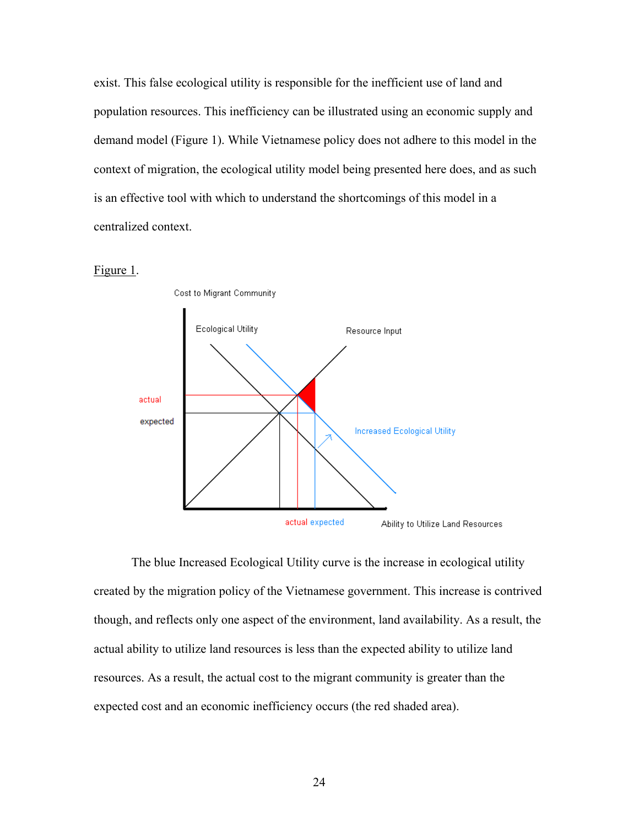exist. This false ecological utility is responsible for the inefficient use of land and population resources. This inefficiency can be illustrated using an economic supply and demand model (Figure 1). While Vietnamese policy does not adhere to this model in the context of migration, the ecological utility model being presented here does, and as such is an effective tool with which to understand the shortcomings of this model in a centralized context.





The blue Increased Ecological Utility curve is the increase in ecological utility created by the migration policy of the Vietnamese government. This increase is contrived though, and reflects only one aspect of the environment, land availability. As a result, the actual ability to utilize land resources is less than the expected ability to utilize land resources. As a result, the actual cost to the migrant community is greater than the expected cost and an economic inefficiency occurs (the red shaded area).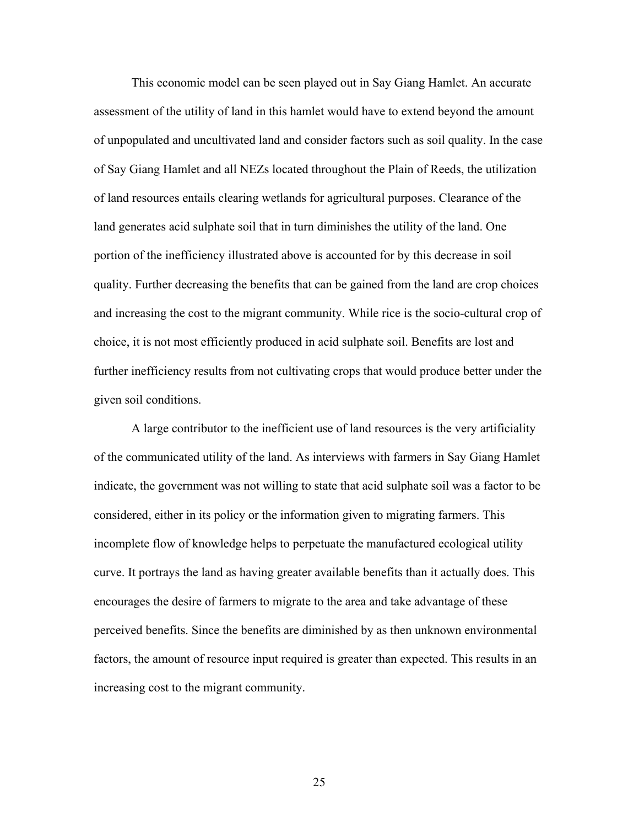This economic model can be seen played out in Say Giang Hamlet. An accurate assessment of the utility of land in this hamlet would have to extend beyond the amount of unpopulated and uncultivated land and consider factors such as soil quality. In the case of Say Giang Hamlet and all NEZs located throughout the Plain of Reeds, the utilization of land resources entails clearing wetlands for agricultural purposes. Clearance of the land generates acid sulphate soil that in turn diminishes the utility of the land. One portion of the inefficiency illustrated above is accounted for by this decrease in soil quality. Further decreasing the benefits that can be gained from the land are crop choices and increasing the cost to the migrant community. While rice is the socio-cultural crop of choice, it is not most efficiently produced in acid sulphate soil. Benefits are lost and further inefficiency results from not cultivating crops that would produce better under the given soil conditions.

 A large contributor to the inefficient use of land resources is the very artificiality of the communicated utility of the land. As interviews with farmers in Say Giang Hamlet indicate, the government was not willing to state that acid sulphate soil was a factor to be considered, either in its policy or the information given to migrating farmers. This incomplete flow of knowledge helps to perpetuate the manufactured ecological utility curve. It portrays the land as having greater available benefits than it actually does. This encourages the desire of farmers to migrate to the area and take advantage of these perceived benefits. Since the benefits are diminished by as then unknown environmental factors, the amount of resource input required is greater than expected. This results in an increasing cost to the migrant community.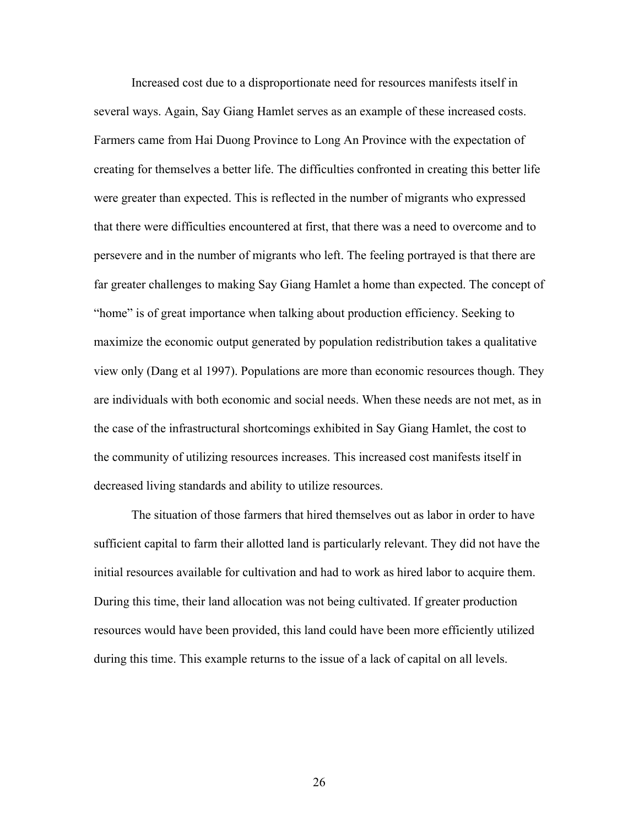Increased cost due to a disproportionate need for resources manifests itself in several ways. Again, Say Giang Hamlet serves as an example of these increased costs. Farmers came from Hai Duong Province to Long An Province with the expectation of creating for themselves a better life. The difficulties confronted in creating this better life were greater than expected. This is reflected in the number of migrants who expressed that there were difficulties encountered at first, that there was a need to overcome and to persevere and in the number of migrants who left. The feeling portrayed is that there are far greater challenges to making Say Giang Hamlet a home than expected. The concept of "home" is of great importance when talking about production efficiency. Seeking to maximize the economic output generated by population redistribution takes a qualitative view only (Dang et al 1997). Populations are more than economic resources though. They are individuals with both economic and social needs. When these needs are not met, as in the case of the infrastructural shortcomings exhibited in Say Giang Hamlet, the cost to the community of utilizing resources increases. This increased cost manifests itself in decreased living standards and ability to utilize resources.

The situation of those farmers that hired themselves out as labor in order to have sufficient capital to farm their allotted land is particularly relevant. They did not have the initial resources available for cultivation and had to work as hired labor to acquire them. During this time, their land allocation was not being cultivated. If greater production resources would have been provided, this land could have been more efficiently utilized during this time. This example returns to the issue of a lack of capital on all levels.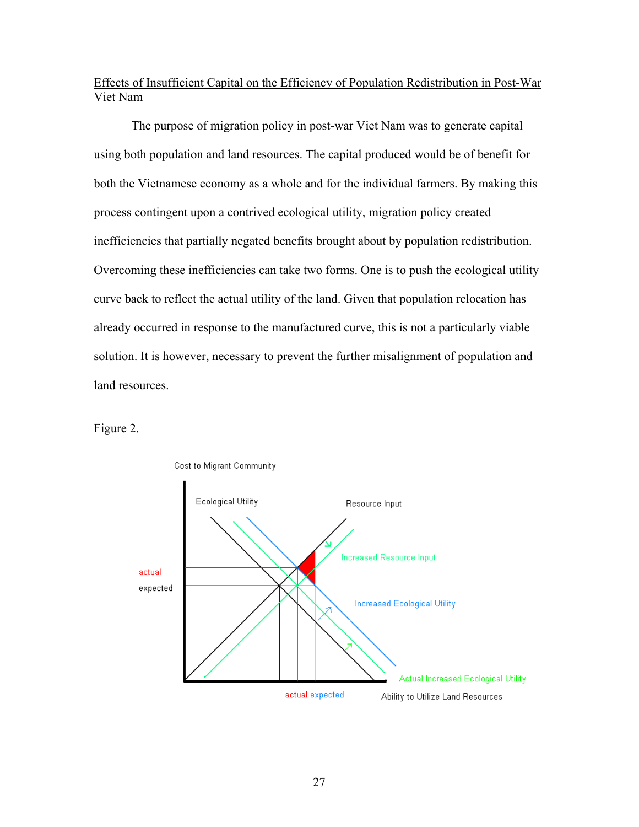## Effects of Insufficient Capital on the Efficiency of Population Redistribution in Post-War Viet Nam

The purpose of migration policy in post-war Viet Nam was to generate capital using both population and land resources. The capital produced would be of benefit for both the Vietnamese economy as a whole and for the individual farmers. By making this process contingent upon a contrived ecological utility, migration policy created inefficiencies that partially negated benefits brought about by population redistribution. Overcoming these inefficiencies can take two forms. One is to push the ecological utility curve back to reflect the actual utility of the land. Given that population relocation has already occurred in response to the manufactured curve, this is not a particularly viable solution. It is however, necessary to prevent the further misalignment of population and land resources.

### Figure 2.

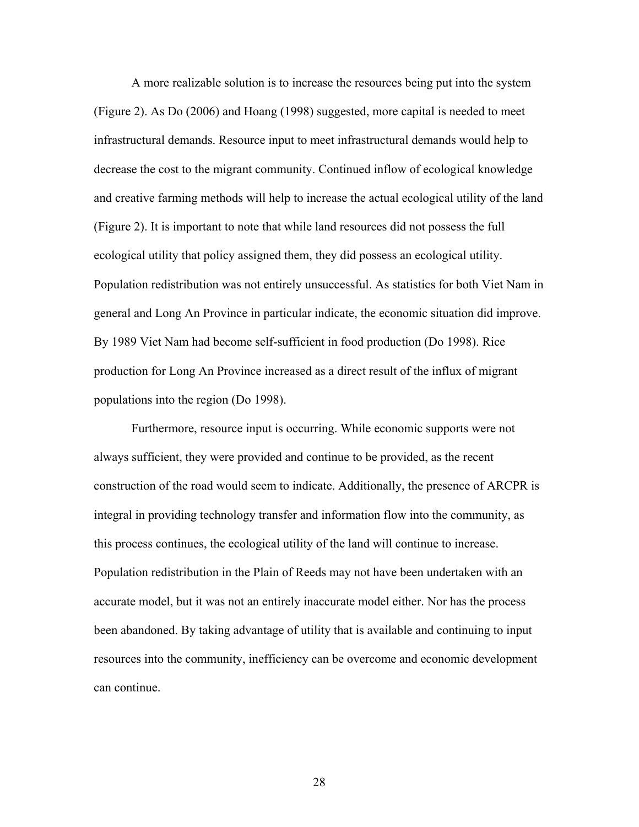A more realizable solution is to increase the resources being put into the system (Figure 2). As Do (2006) and Hoang (1998) suggested, more capital is needed to meet infrastructural demands. Resource input to meet infrastructural demands would help to decrease the cost to the migrant community. Continued inflow of ecological knowledge and creative farming methods will help to increase the actual ecological utility of the land (Figure 2). It is important to note that while land resources did not possess the full ecological utility that policy assigned them, they did possess an ecological utility. Population redistribution was not entirely unsuccessful. As statistics for both Viet Nam in general and Long An Province in particular indicate, the economic situation did improve. By 1989 Viet Nam had become self-sufficient in food production (Do 1998). Rice production for Long An Province increased as a direct result of the influx of migrant populations into the region (Do 1998).

Furthermore, resource input is occurring. While economic supports were not always sufficient, they were provided and continue to be provided, as the recent construction of the road would seem to indicate. Additionally, the presence of ARCPR is integral in providing technology transfer and information flow into the community, as this process continues, the ecological utility of the land will continue to increase. Population redistribution in the Plain of Reeds may not have been undertaken with an accurate model, but it was not an entirely inaccurate model either. Nor has the process been abandoned. By taking advantage of utility that is available and continuing to input resources into the community, inefficiency can be overcome and economic development can continue.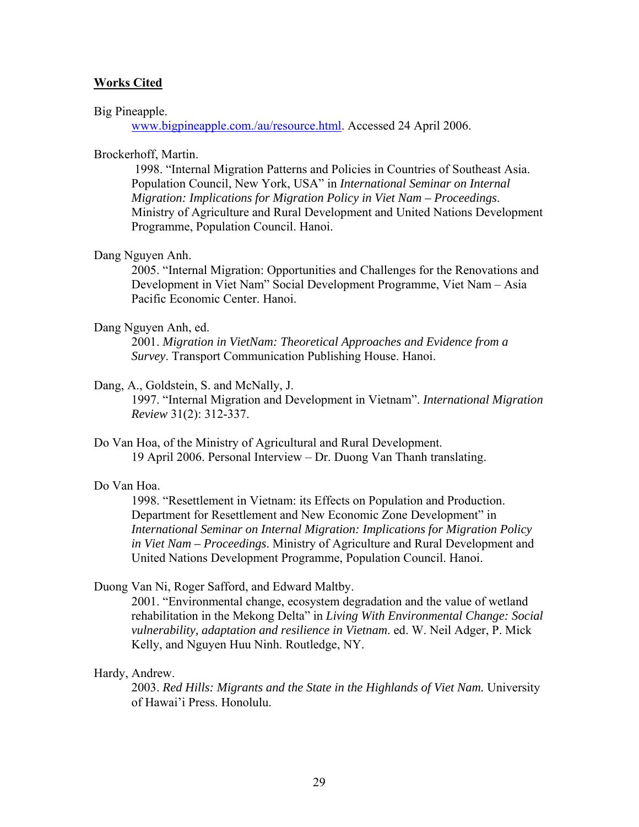#### **Works Cited**

#### Big Pineapple.

[www.bigpineapple.com./au/resource.html](http://www.bigpineapple.com./au/resource.html). Accessed 24 April 2006.

#### Brockerhoff, Martin.

1998. "Internal Migration Patterns and Policies in Countries of Southeast Asia. Population Council, New York, USA" in *International Seminar on Internal Migration: Implications for Migration Policy in Viet Nam – Proceedings*. Ministry of Agriculture and Rural Development and United Nations Development Programme, Population Council. Hanoi.

#### Dang Nguyen Anh.

2005. "Internal Migration: Opportunities and Challenges for the Renovations and Development in Viet Nam" Social Development Programme, Viet Nam – Asia Pacific Economic Center. Hanoi.

#### Dang Nguyen Anh, ed.

2001. *Migration in VietNam: Theoretical Approaches and Evidence from a Survey*. Transport Communication Publishing House. Hanoi.

#### Dang, A., Goldstein, S. and McNally, J.

1997. "Internal Migration and Development in Vietnam". *International Migration Review* 31(2): 312-337.

Do Van Hoa, of the Ministry of Agricultural and Rural Development. 19 April 2006. Personal Interview – Dr. Duong Van Thanh translating.

#### Do Van Hoa.

1998. "Resettlement in Vietnam: its Effects on Population and Production. Department for Resettlement and New Economic Zone Development" in *International Seminar on Internal Migration: Implications for Migration Policy in Viet Nam – Proceedings*. Ministry of Agriculture and Rural Development and United Nations Development Programme, Population Council. Hanoi.

#### Duong Van Ni, Roger Safford, and Edward Maltby.

 2001. "Environmental change, ecosystem degradation and the value of wetland rehabilitation in the Mekong Delta" in *Living With Environmental Change: Social vulnerability, adaptation and resilience in Vietnam*. ed. W. Neil Adger, P. Mick Kelly, and Nguyen Huu Ninh. Routledge, NY.

#### Hardy, Andrew.

2003. *Red Hills: Migrants and the State in the Highlands of Viet Nam.* University of Hawai'i Press. Honolulu.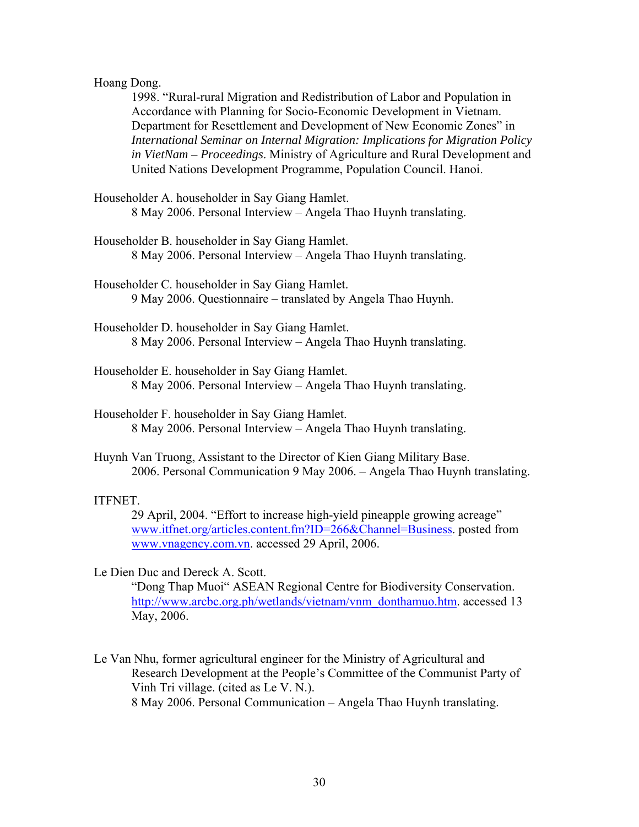#### Hoang Dong.

1998. "Rural-rural Migration and Redistribution of Labor and Population in Accordance with Planning for Socio-Economic Development in Vietnam. Department for Resettlement and Development of New Economic Zones" in *International Seminar on Internal Migration: Implications for Migration Policy in VietNam – Proceedings*. Ministry of Agriculture and Rural Development and United Nations Development Programme, Population Council. Hanoi.

- Householder A. householder in Say Giang Hamlet. 8 May 2006. Personal Interview – Angela Thao Huynh translating.
- Householder B. householder in Say Giang Hamlet. 8 May 2006. Personal Interview – Angela Thao Huynh translating.

Householder C. householder in Say Giang Hamlet. 9 May 2006. Questionnaire – translated by Angela Thao Huynh.

- Householder D. householder in Say Giang Hamlet. 8 May 2006. Personal Interview – Angela Thao Huynh translating.
- Householder E. householder in Say Giang Hamlet. 8 May 2006. Personal Interview – Angela Thao Huynh translating.
- Householder F. householder in Say Giang Hamlet. 8 May 2006. Personal Interview – Angela Thao Huynh translating.
- Huynh Van Truong, Assistant to the Director of Kien Giang Military Base. 2006. Personal Communication 9 May 2006. – Angela Thao Huynh translating.

#### ITFNET.

29 April, 2004. "Effort to increase high-yield pineapple growing acreage" [www.itfnet.org/articles.content.fm?ID=266&Channel=Business](http://www.itfnet.org/articles.content.fm?ID=266&Channel=Business). posted from [www.vnagency.com.vn.](http://www.vnagency.com.vn/) accessed 29 April, 2006.

Le Dien Duc and Dereck A. Scott.

"Dong Thap Muoi" ASEAN Regional Centre for Biodiversity Conservation. [http://www.arcbc.org.ph/wetlands/vietnam/vnm\\_donthamuo.htm.](http://www.arcbc.org.ph/wetlands/vietnam/vnm_donthamuo.htm) accessed 13 May, 2006.

Le Van Nhu, former agricultural engineer for the Ministry of Agricultural and Research Development at the People's Committee of the Communist Party of Vinh Tri village. (cited as Le V. N.). 8 May 2006. Personal Communication – Angela Thao Huynh translating.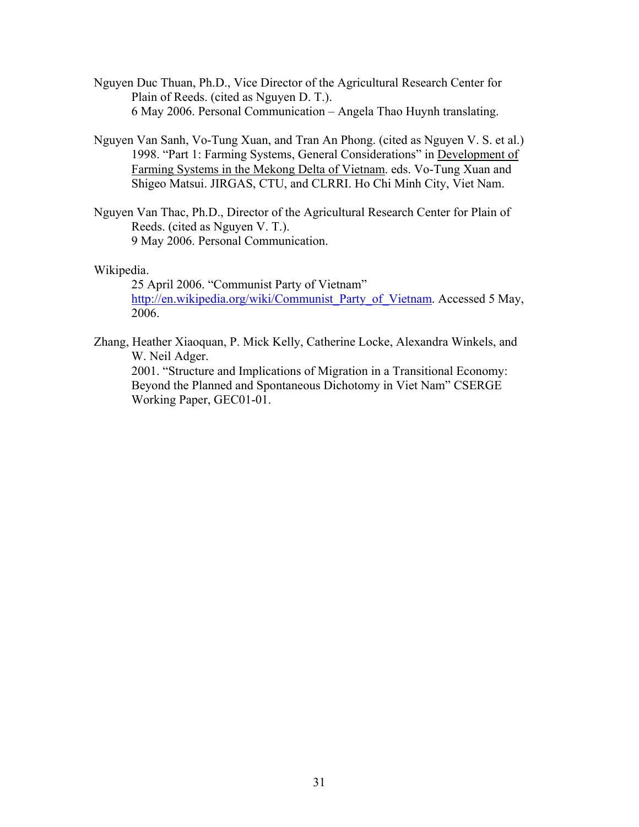- Nguyen Duc Thuan, Ph.D., Vice Director of the Agricultural Research Center for Plain of Reeds. (cited as Nguyen D. T.). 6 May 2006. Personal Communication – Angela Thao Huynh translating.
- Nguyen Van Sanh, Vo-Tung Xuan, and Tran An Phong. (cited as Nguyen V. S. et al.) 1998. "Part 1: Farming Systems, General Considerations" in Development of Farming Systems in the Mekong Delta of Vietnam. eds. Vo-Tung Xuan and Shigeo Matsui. JIRGAS, CTU, and CLRRI. Ho Chi Minh City, Viet Nam.
- Nguyen Van Thac, Ph.D., Director of the Agricultural Research Center for Plain of Reeds. (cited as Nguyen V. T.). 9 May 2006. Personal Communication.

Wikipedia.

25 April 2006. "Communist Party of Vietnam" [http://en.wikipedia.org/wiki/Communist\\_Party\\_of\\_Vietnam.](http://en.wikipedia.org/wiki/Communist_Party_of_Vietnam) Accessed 5 May, 2006.

Zhang, Heather Xiaoquan, P. Mick Kelly, Catherine Locke, Alexandra Winkels, and W. Neil Adger.

2001. "Structure and Implications of Migration in a Transitional Economy: Beyond the Planned and Spontaneous Dichotomy in Viet Nam" CSERGE Working Paper, GEC01-01.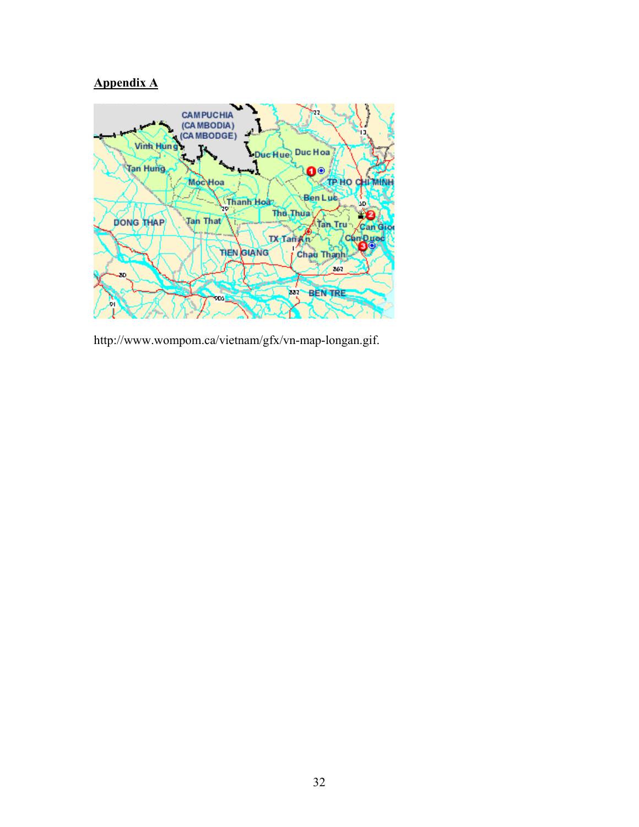# **Appendix A**



http://www.wompom.ca/vietnam/gfx/vn-map-longan.gif.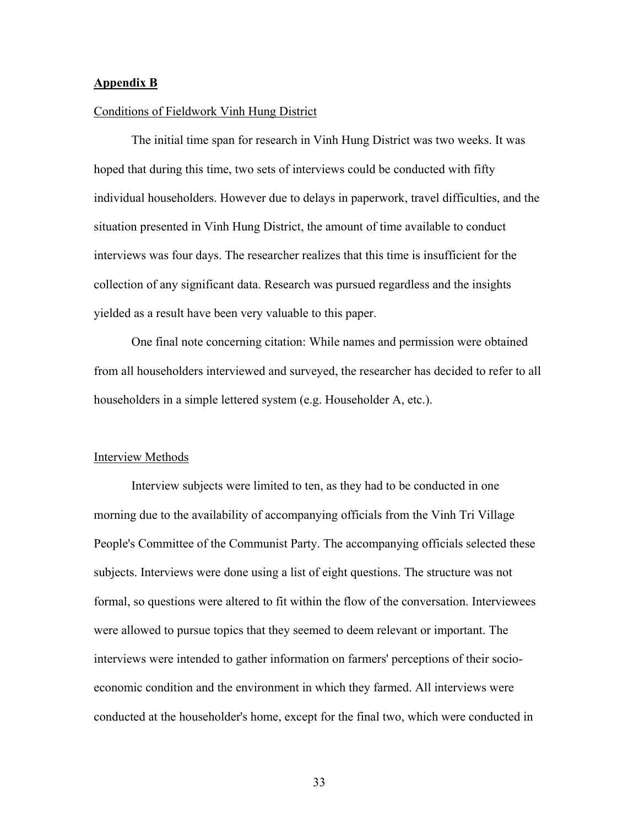#### **Appendix B**

#### Conditions of Fieldwork Vinh Hung District

 The initial time span for research in Vinh Hung District was two weeks. It was hoped that during this time, two sets of interviews could be conducted with fifty individual householders. However due to delays in paperwork, travel difficulties, and the situation presented in Vinh Hung District, the amount of time available to conduct interviews was four days. The researcher realizes that this time is insufficient for the collection of any significant data. Research was pursued regardless and the insights yielded as a result have been very valuable to this paper.

 One final note concerning citation: While names and permission were obtained from all householders interviewed and surveyed, the researcher has decided to refer to all householders in a simple lettered system (e.g. Householder A, etc.).

#### Interview Methods

 Interview subjects were limited to ten, as they had to be conducted in one morning due to the availability of accompanying officials from the Vinh Tri Village People's Committee of the Communist Party. The accompanying officials selected these subjects. Interviews were done using a list of eight questions. The structure was not formal, so questions were altered to fit within the flow of the conversation. Interviewees were allowed to pursue topics that they seemed to deem relevant or important. The interviews were intended to gather information on farmers' perceptions of their socioeconomic condition and the environment in which they farmed. All interviews were conducted at the householder's home, except for the final two, which were conducted in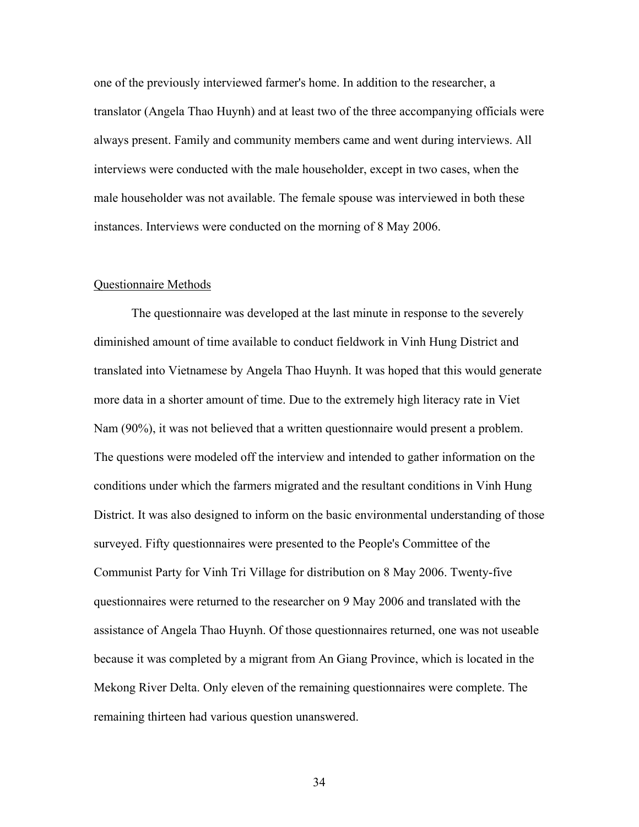one of the previously interviewed farmer's home. In addition to the researcher, a translator (Angela Thao Huynh) and at least two of the three accompanying officials were always present. Family and community members came and went during interviews. All interviews were conducted with the male householder, except in two cases, when the male householder was not available. The female spouse was interviewed in both these instances. Interviews were conducted on the morning of 8 May 2006.

#### Questionnaire Methods

 The questionnaire was developed at the last minute in response to the severely diminished amount of time available to conduct fieldwork in Vinh Hung District and translated into Vietnamese by Angela Thao Huynh. It was hoped that this would generate more data in a shorter amount of time. Due to the extremely high literacy rate in Viet Nam (90%), it was not believed that a written questionnaire would present a problem. The questions were modeled off the interview and intended to gather information on the conditions under which the farmers migrated and the resultant conditions in Vinh Hung District. It was also designed to inform on the basic environmental understanding of those surveyed. Fifty questionnaires were presented to the People's Committee of the Communist Party for Vinh Tri Village for distribution on 8 May 2006. Twenty-five questionnaires were returned to the researcher on 9 May 2006 and translated with the assistance of Angela Thao Huynh. Of those questionnaires returned, one was not useable because it was completed by a migrant from An Giang Province, which is located in the Mekong River Delta. Only eleven of the remaining questionnaires were complete. The remaining thirteen had various question unanswered.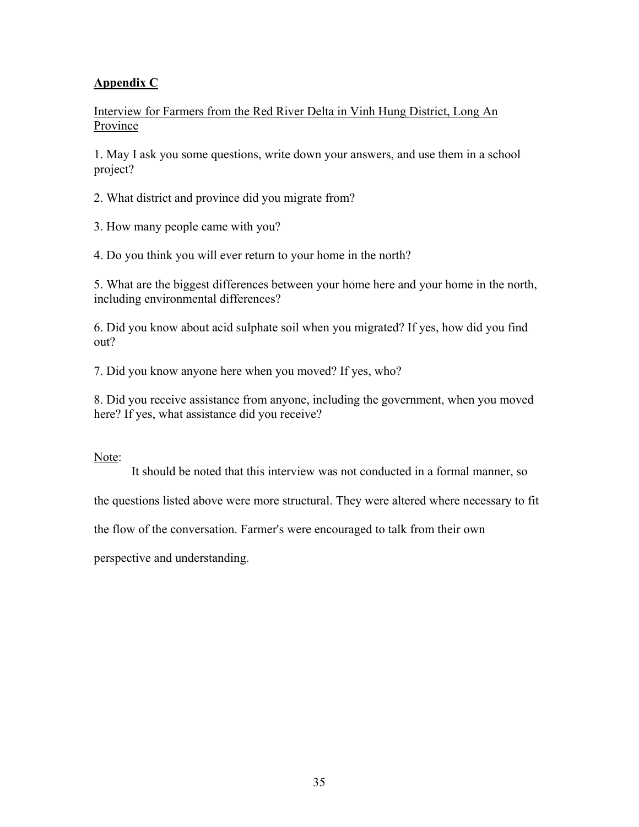# **Appendix C**

Interview for Farmers from the Red River Delta in Vinh Hung District, Long An **Province** 

1. May I ask you some questions, write down your answers, and use them in a school project?

2. What district and province did you migrate from?

3. How many people came with you?

4. Do you think you will ever return to your home in the north?

5. What are the biggest differences between your home here and your home in the north, including environmental differences?

6. Did you know about acid sulphate soil when you migrated? If yes, how did you find out?

7. Did you know anyone here when you moved? If yes, who?

8. Did you receive assistance from anyone, including the government, when you moved here? If yes, what assistance did you receive?

### Note:

It should be noted that this interview was not conducted in a formal manner, so

the questions listed above were more structural. They were altered where necessary to fit

the flow of the conversation. Farmer's were encouraged to talk from their own

perspective and understanding.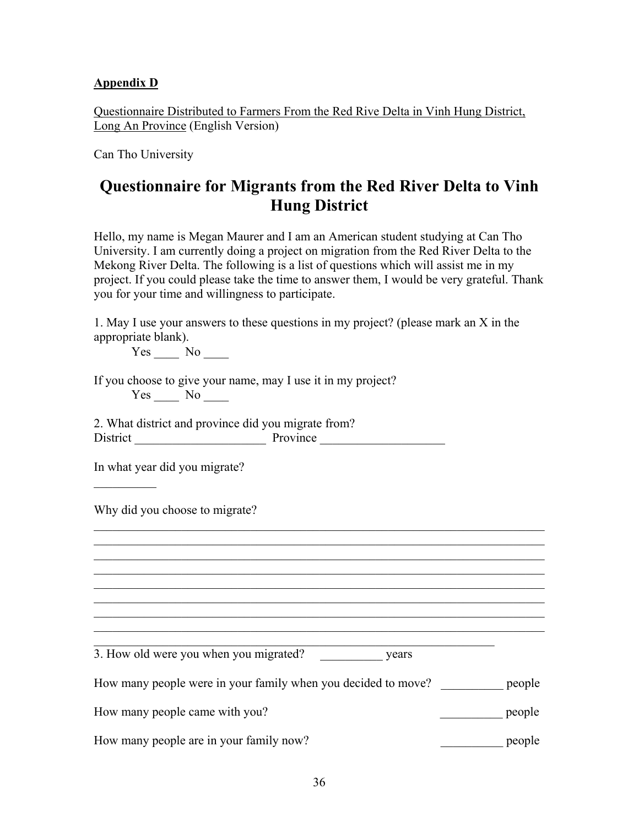## **Appendix D**

Questionnaire Distributed to Farmers From the Red Rive Delta in Vinh Hung District, Long An Province (English Version)

Can Tho University

# **Questionnaire for Migrants from the Red River Delta to Vinh Hung District**

Hello, my name is Megan Maurer and I am an American student studying at Can Tho University. I am currently doing a project on migration from the Red River Delta to the Mekong River Delta. The following is a list of questions which will assist me in my project. If you could please take the time to answer them, I would be very grateful. Thank you for your time and willingness to participate.

1. May I use your answers to these questions in my project? (please mark an X in the appropriate blank).

Yes No No

If you choose to give your name, may I use it in my project?  $Yes \_\_ No \_\_$ 

2. What district and province did you migrate from? District Province Province

In what year did you migrate?

 $\mathcal{L}_\text{max}$ 

Why did you choose to migrate?

3. How old were you when you migrated? \_\_\_\_\_\_\_\_\_\_\_\_\_ years

| How many people were in your family when you decided to move? | <u>people</u> |
|---------------------------------------------------------------|---------------|
|---------------------------------------------------------------|---------------|

 $\mathcal{L}_\text{max}$  , and the contribution of the contribution of the contribution of the contribution of the contribution of the contribution of the contribution of the contribution of the contribution of the contribution of t

 $\mathcal{L}_\text{max}$  , and the contribution of the contribution of the contribution of the contribution of the contribution of the contribution of the contribution of the contribution of the contribution of the contribution of t  $\mathcal{L}_\text{max} = \mathcal{L}_\text{max} = \mathcal{L}_\text{max} = \mathcal{L}_\text{max} = \mathcal{L}_\text{max} = \mathcal{L}_\text{max} = \mathcal{L}_\text{max} = \mathcal{L}_\text{max} = \mathcal{L}_\text{max} = \mathcal{L}_\text{max} = \mathcal{L}_\text{max} = \mathcal{L}_\text{max} = \mathcal{L}_\text{max} = \mathcal{L}_\text{max} = \mathcal{L}_\text{max} = \mathcal{L}_\text{max} = \mathcal{L}_\text{max} = \mathcal{L}_\text{max} = \mathcal{$  $\mathcal{L}_\text{max} = \mathcal{L}_\text{max} = \mathcal{L}_\text{max} = \mathcal{L}_\text{max} = \mathcal{L}_\text{max} = \mathcal{L}_\text{max} = \mathcal{L}_\text{max} = \mathcal{L}_\text{max} = \mathcal{L}_\text{max} = \mathcal{L}_\text{max} = \mathcal{L}_\text{max} = \mathcal{L}_\text{max} = \mathcal{L}_\text{max} = \mathcal{L}_\text{max} = \mathcal{L}_\text{max} = \mathcal{L}_\text{max} = \mathcal{L}_\text{max} = \mathcal{L}_\text{max} = \mathcal{$  $\mathcal{L}_\text{max}$  , and the contribution of the contribution of the contribution of the contribution of the contribution of the contribution of the contribution of the contribution of the contribution of the contribution of t  $\mathcal{L}_\text{max}$  , and the contribution of the contribution of the contribution of the contribution of the contribution of the contribution of the contribution of the contribution of the contribution of the contribution of t

 $\mathcal{L}_\mathcal{L} = \{ \mathcal{L}_\mathcal{L} = \{ \mathcal{L}_\mathcal{L} = \{ \mathcal{L}_\mathcal{L} = \{ \mathcal{L}_\mathcal{L} = \{ \mathcal{L}_\mathcal{L} = \{ \mathcal{L}_\mathcal{L} = \{ \mathcal{L}_\mathcal{L} = \{ \mathcal{L}_\mathcal{L} = \{ \mathcal{L}_\mathcal{L} = \{ \mathcal{L}_\mathcal{L} = \{ \mathcal{L}_\mathcal{L} = \{ \mathcal{L}_\mathcal{L} = \{ \mathcal{L}_\mathcal{L} = \{ \mathcal{L}_\mathcal{$  $\mathcal{L}_\text{max} = \mathcal{L}_\text{max} = \mathcal{L}_\text{max} = \mathcal{L}_\text{max} = \mathcal{L}_\text{max} = \mathcal{L}_\text{max} = \mathcal{L}_\text{max} = \mathcal{L}_\text{max} = \mathcal{L}_\text{max} = \mathcal{L}_\text{max} = \mathcal{L}_\text{max} = \mathcal{L}_\text{max} = \mathcal{L}_\text{max} = \mathcal{L}_\text{max} = \mathcal{L}_\text{max} = \mathcal{L}_\text{max} = \mathcal{L}_\text{max} = \mathcal{L}_\text{max} = \mathcal{$  $\mathcal{L}_\text{max} = \mathcal{L}_\text{max} = \mathcal{L}_\text{max} = \mathcal{L}_\text{max} = \mathcal{L}_\text{max} = \mathcal{L}_\text{max} = \mathcal{L}_\text{max} = \mathcal{L}_\text{max} = \mathcal{L}_\text{max} = \mathcal{L}_\text{max} = \mathcal{L}_\text{max} = \mathcal{L}_\text{max} = \mathcal{L}_\text{max} = \mathcal{L}_\text{max} = \mathcal{L}_\text{max} = \mathcal{L}_\text{max} = \mathcal{L}_\text{max} = \mathcal{L}_\text{max} = \mathcal{$ 

How many people came with you? <br>  $\qquad \qquad$  people

How many people are in your family now?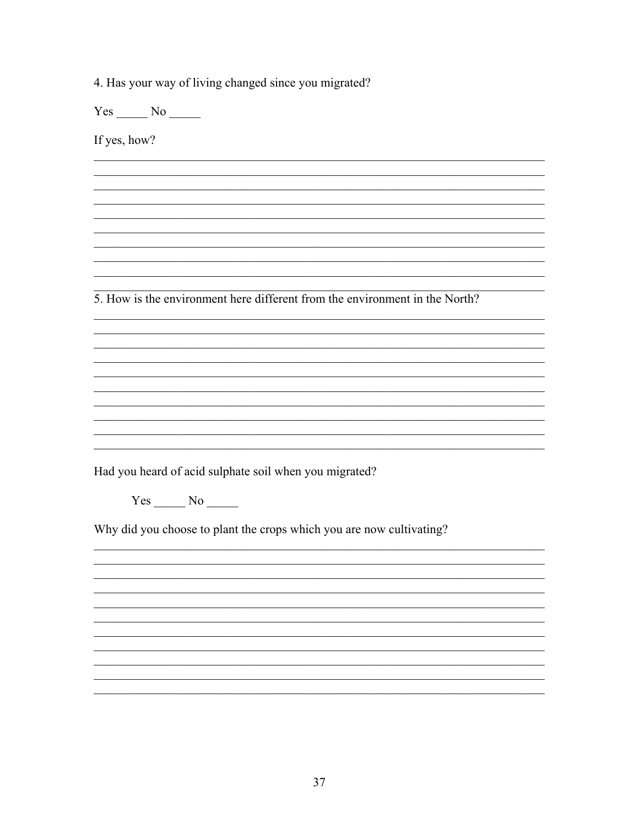4. Has your way of living changed since you migrated?

 $Yes$  No  $\_\_$ 

If yes, how?

5. How is the environment here different from the environment in the North?

<u> 1989 - Johann Stoff, amerikansk politiker (d. 1989)</u>

Had you heard of acid sulphate soil when you migrated?

 $Yes$  No  $No$ 

Why did you choose to plant the crops which you are now cultivating?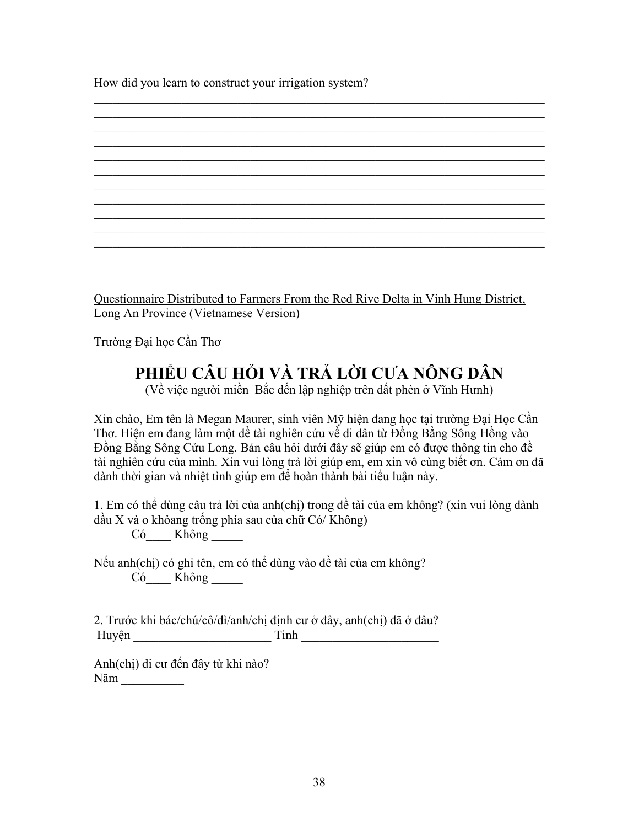How did you learn to construct your irrigation system?

Questionnaire Distributed to Farmers From the Red Rive Delta in Vinh Hung District, Long An Province (Vietnamese Version)

 $\mathcal{L}_\text{max}$  , and the contribution of the contribution of the contribution of the contribution of the contribution of the contribution of the contribution of the contribution of the contribution of the contribution of t  $\mathcal{L}_\text{max}$  , and the contribution of the contribution of the contribution of the contribution of the contribution of the contribution of the contribution of the contribution of the contribution of the contribution of t  $\mathcal{L}_\text{max}$  , and the contribution of the contribution of the contribution of the contribution of the contribution of the contribution of the contribution of the contribution of the contribution of the contribution of t  $\mathcal{L}_\text{max} = \mathcal{L}_\text{max} = \mathcal{L}_\text{max} = \mathcal{L}_\text{max} = \mathcal{L}_\text{max} = \mathcal{L}_\text{max} = \mathcal{L}_\text{max} = \mathcal{L}_\text{max} = \mathcal{L}_\text{max} = \mathcal{L}_\text{max} = \mathcal{L}_\text{max} = \mathcal{L}_\text{max} = \mathcal{L}_\text{max} = \mathcal{L}_\text{max} = \mathcal{L}_\text{max} = \mathcal{L}_\text{max} = \mathcal{L}_\text{max} = \mathcal{L}_\text{max} = \mathcal{$  $\mathcal{L}_\text{max}$  , and the contribution of the contribution of the contribution of the contribution of the contribution of the contribution of the contribution of the contribution of the contribution of the contribution of t

 $\mathcal{L}_\text{max}$  , and the contribution of the contribution of the contribution of the contribution of the contribution of the contribution of the contribution of the contribution of the contribution of the contribution of t  $\mathcal{L}_\text{max}$  , and the contribution of the contribution of the contribution of the contribution of the contribution of the contribution of the contribution of the contribution of the contribution of the contribution of t

 $\mathcal{L}_\text{max}$  , and the contribution of the contribution of the contribution of the contribution of the contribution of the contribution of the contribution of the contribution of the contribution of the contribution of t  $\mathcal{L}_\text{max}$  , and the contribution of the contribution of the contribution of the contribution of the contribution of the contribution of the contribution of the contribution of the contribution of the contribution of t

Trường Đại học Cần Thơ

# **PHIỂU CÂU HỎI VÀ TRẢ LỜI CƯA NÔNG DÂN**

(Về việc người miền Bắc dến lập nghiệp trên dất phèn ở Vĩnh Hưnh)

Xin chào, Em tên là Megan Maurer, sinh viên Mỹ hiện đang học tại trường Đại Học Cần Thơ. Hiện em đang làm một dề tài nghiên cứu về di dân từ Đồng Bằng Sông Hồng vào Đồng Bằng Sông Cửu Long. Bản câu hỏi dưới đây sẽ giúp em có được thông tin cho đề tài nghiên cứu của mình. Xin vui lòng trả lời giúp em, em xin vô cùng biết ơn. Cảm ơn đã dành thời gian và nhiệt tình giúp em để hoàn thành bài tiểu luận này.

1. Em có thể dùng câu trả lời của anh(chị) trong đề tài của em không? (xin vui lòng dành dầu X và o khỏang trống phía sau của chữ Có/ Không)

Có Không

Nếu anh(chị) có ghi tên, em có thể dùng vào đề tài của em không? Có Không

2. Trước khi bác/chú/cô/dì/anh/chị định cư ở đây, anh(chị) đã ở đâu? Huyện \_\_\_\_\_\_\_\_\_\_\_\_\_\_\_\_\_\_\_\_\_\_ Tinh \_\_\_\_\_\_\_\_\_\_\_\_\_\_\_\_\_\_\_\_\_\_

Anh(chị) di cư đến đây từ khi nào? Năm \_\_\_\_\_\_\_\_\_\_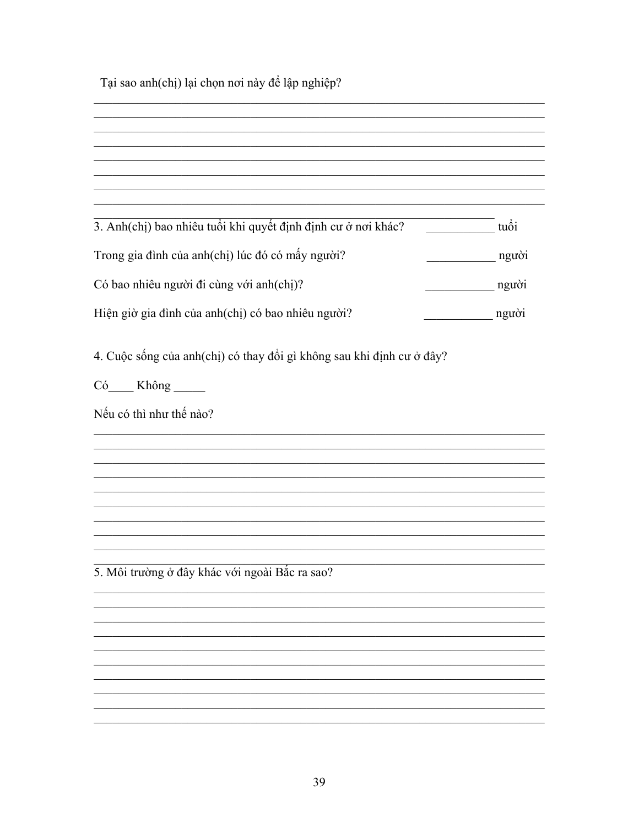Tại sao anh(chị) lại chọn nơi này để lập nghiệp?

| 3. Anh(chị) bao nhiêu tuổi khi quyết định định cư ở nơi khác?         | tuổi  |
|-----------------------------------------------------------------------|-------|
| Trong gia đình của anh(chị) lúc đó có mấy người?                      | người |
| Có bao nhiêu người đi cùng với anh(chị)?                              | người |
| Hiện giờ gia đình của anh(chị) có bao nhiêu người?                    | người |
| 4. Cuộc sống của anh(chị) có thay đổi gì không sau khi định cư ở đây? |       |
| Có___ Không ____                                                      |       |
| Nếu có thì như thế nào?                                               |       |
|                                                                       |       |
|                                                                       |       |
|                                                                       |       |
|                                                                       |       |
|                                                                       |       |
|                                                                       |       |
| 5. Môi trường ở đây khác với ngoài Bắc ra sao?                        |       |
|                                                                       |       |
|                                                                       |       |
|                                                                       |       |
|                                                                       |       |
|                                                                       |       |
|                                                                       |       |
|                                                                       |       |